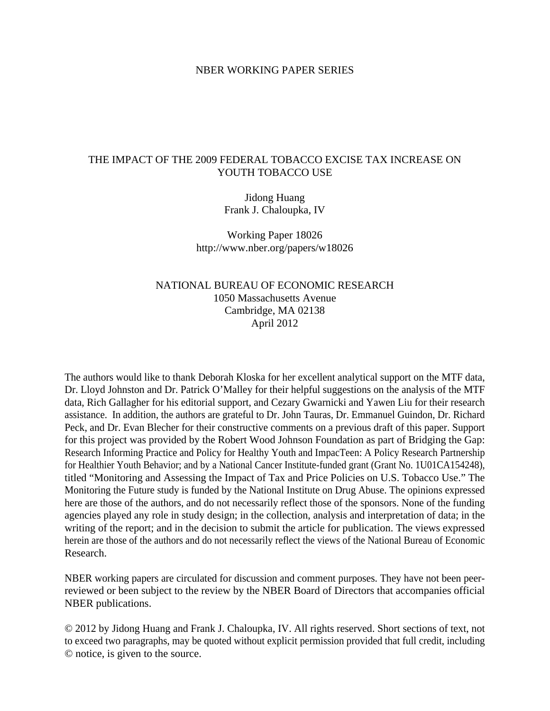#### NBER WORKING PAPER SERIES

# THE IMPACT OF THE 2009 FEDERAL TOBACCO EXCISE TAX INCREASE ON YOUTH TOBACCO USE

Jidong Huang Frank J. Chaloupka, IV

Working Paper 18026 http://www.nber.org/papers/w18026

# NATIONAL BUREAU OF ECONOMIC RESEARCH 1050 Massachusetts Avenue Cambridge, MA 02138 April 2012

The authors would like to thank Deborah Kloska for her excellent analytical support on the MTF data, Dr. Lloyd Johnston and Dr. Patrick O'Malley for their helpful suggestions on the analysis of the MTF data, Rich Gallagher for his editorial support, and Cezary Gwarnicki and Yawen Liu for their research assistance. In addition, the authors are grateful to Dr. John Tauras, Dr. Emmanuel Guindon, Dr. Richard Peck, and Dr. Evan Blecher for their constructive comments on a previous draft of this paper. Support for this project was provided by the Robert Wood Johnson Foundation as part of Bridging the Gap: Research Informing Practice and Policy for Healthy Youth and ImpacTeen: A Policy Research Partnership for Healthier Youth Behavior; and by a National Cancer Institute-funded grant (Grant No. 1U01CA154248), titled "Monitoring and Assessing the Impact of Tax and Price Policies on U.S. Tobacco Use." The Monitoring the Future study is funded by the National Institute on Drug Abuse. The opinions expressed here are those of the authors, and do not necessarily reflect those of the sponsors. None of the funding agencies played any role in study design; in the collection, analysis and interpretation of data; in the writing of the report; and in the decision to submit the article for publication. The views expressed herein are those of the authors and do not necessarily reflect the views of the National Bureau of Economic Research.

NBER working papers are circulated for discussion and comment purposes. They have not been peerreviewed or been subject to the review by the NBER Board of Directors that accompanies official NBER publications.

© 2012 by Jidong Huang and Frank J. Chaloupka, IV. All rights reserved. Short sections of text, not to exceed two paragraphs, may be quoted without explicit permission provided that full credit, including © notice, is given to the source.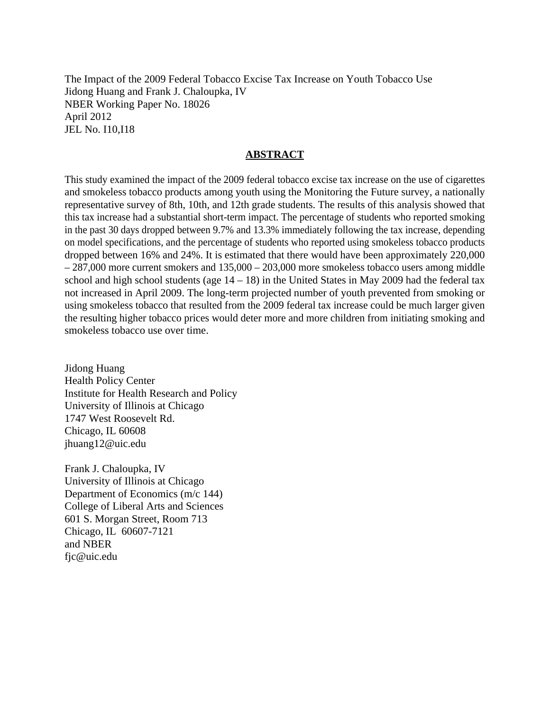The Impact of the 2009 Federal Tobacco Excise Tax Increase on Youth Tobacco Use Jidong Huang and Frank J. Chaloupka, IV NBER Working Paper No. 18026 April 2012 JEL No. I10,I18

## **ABSTRACT**

This study examined the impact of the 2009 federal tobacco excise tax increase on the use of cigarettes and smokeless tobacco products among youth using the Monitoring the Future survey, a nationally representative survey of 8th, 10th, and 12th grade students. The results of this analysis showed that this tax increase had a substantial short-term impact. The percentage of students who reported smoking in the past 30 days dropped between 9.7% and 13.3% immediately following the tax increase, depending on model specifications, and the percentage of students who reported using smokeless tobacco products dropped between 16% and 24%. It is estimated that there would have been approximately 220,000 – 287,000 more current smokers and 135,000 – 203,000 more smokeless tobacco users among middle school and high school students (age  $14 - 18$ ) in the United States in May 2009 had the federal tax not increased in April 2009. The long-term projected number of youth prevented from smoking or using smokeless tobacco that resulted from the 2009 federal tax increase could be much larger given the resulting higher tobacco prices would deter more and more children from initiating smoking and smokeless tobacco use over time.

Jidong Huang Health Policy Center Institute for Health Research and Policy University of Illinois at Chicago 1747 West Roosevelt Rd. Chicago, IL 60608 jhuang12@uic.edu

Frank J. Chaloupka, IV University of Illinois at Chicago Department of Economics (m/c 144) College of Liberal Arts and Sciences 601 S. Morgan Street, Room 713 Chicago, IL 60607-7121 and NBER fjc@uic.edu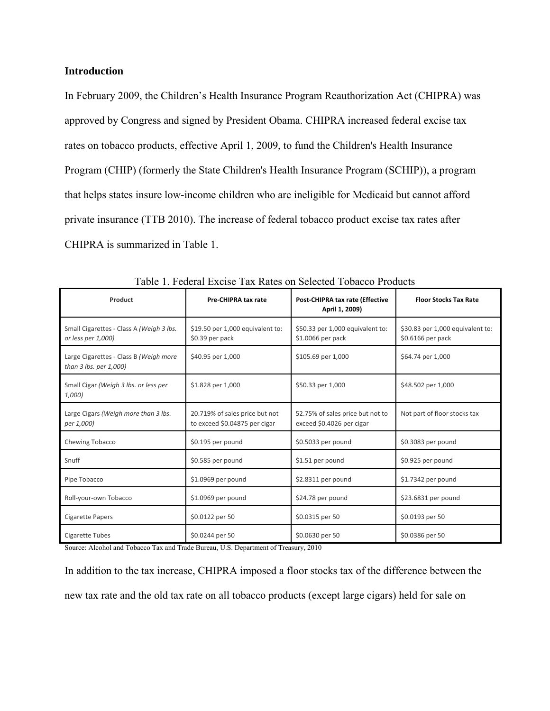## **Introduction**

In February 2009, the Children's Health Insurance Program Reauthorization Act (CHIPRA) was approved by Congress and signed by President Obama. CHIPRA increased federal excise tax rates on tobacco products, effective April 1, 2009, to fund the Children's Health Insurance Program (CHIP) (formerly the State Children's Health Insurance Program (SCHIP)), a program that helps states insure low-income children who are ineligible for Medicaid but cannot afford private insurance (TTB 2010). The increase of federal tobacco product excise tax rates after CHIPRA is summarized in Table 1.

| Product                                                          | <b>Pre-CHIPRA tax rate</b>                                      | Post-CHIPRA tax rate (Effective<br>April 1, 2009)             | <b>Floor Stocks Tax Rate</b>                          |  |
|------------------------------------------------------------------|-----------------------------------------------------------------|---------------------------------------------------------------|-------------------------------------------------------|--|
| Small Cigarettes - Class A (Weigh 3 lbs.<br>or less per 1,000)   | \$19.50 per 1,000 equivalent to:<br>\$0.39 per pack             | \$50.33 per 1,000 equivalent to:<br>\$1.0066 per pack         | \$30.83 per 1,000 equivalent to:<br>\$0.6166 per pack |  |
| Large Cigarettes - Class B (Weigh more<br>than 3 lbs. per 1,000) | \$40.95 per 1,000                                               | \$105.69 per 1,000                                            | \$64.74 per 1,000                                     |  |
| Small Cigar (Weigh 3 lbs. or less per<br>1,000)                  | \$1.828 per 1,000                                               | \$50.33 per 1,000                                             | \$48.502 per 1,000                                    |  |
| Large Cigars (Weigh more than 3 lbs.<br>per 1,000)               | 20.719% of sales price but not<br>to exceed \$0.04875 per cigar | 52.75% of sales price but not to<br>exceed \$0.4026 per cigar | Not part of floor stocks tax                          |  |
| Chewing Tobacco                                                  | \$0.195 per pound                                               | \$0.5033 per pound                                            | \$0.3083 per pound                                    |  |
| Snuff                                                            | \$0.585 per pound                                               | \$1.51 per pound                                              | \$0.925 per pound                                     |  |
| Pipe Tobacco                                                     | \$1.0969 per pound                                              | \$2.8311 per pound                                            | \$1.7342 per pound                                    |  |
| Roll-your-own Tobacco                                            | \$1.0969 per pound                                              | \$24.78 per pound                                             | \$23.6831 per pound                                   |  |
| Cigarette Papers                                                 | \$0.0122 per 50                                                 | \$0.0315 per 50                                               | \$0.0193 per 50                                       |  |
| Cigarette Tubes                                                  | \$0.0244 per 50                                                 | \$0.0630 per 50                                               | \$0.0386 per 50                                       |  |

Table 1. Federal Excise Tax Rates on Selected Tobacco Products

Source: Alcohol and Tobacco Tax and Trade Bureau, U.S. Department of Treasury, 2010

In addition to the tax increase, CHIPRA imposed a floor stocks tax of the difference between the new tax rate and the old tax rate on all tobacco products (except large cigars) held for sale on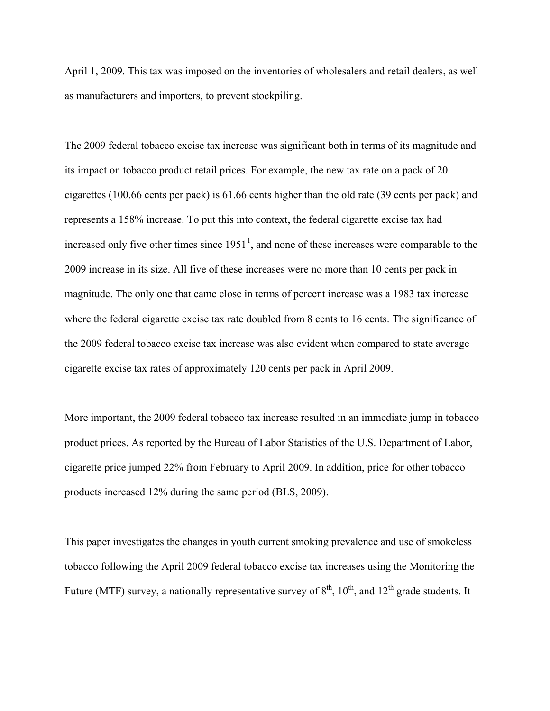April 1, 2009. This tax was imposed on the inventories of wholesalers and retail dealers, as well as manufacturers and importers, to prevent stockpiling.

The 2009 federal tobacco excise tax increase was significant both in terms of its magnitude and its impact on tobacco product retail prices. For example, the new tax rate on a pack of 20 cigarettes (100.66 cents per pack) is 61.66 cents higher than the old rate (39 cents per pack) and represents a 158% increase. To put this into context, the federal cigarette excise tax had increased only five other times since  $1951<sup>1</sup>$  $1951<sup>1</sup>$ , and none of these increases were comparable to the 2009 increase in its size. All five of these increases were no more than 10 cents per pack in magnitude. The only one that came close in terms of percent increase was a 1983 tax increase where the federal cigarette excise tax rate doubled from 8 cents to 16 cents. The significance of the 2009 federal tobacco excise tax increase was also evident when compared to state average cigarette excise tax rates of approximately 120 cents per pack in April 2009.

More important, the 2009 federal tobacco tax increase resulted in an immediate jump in tobacco product prices. As reported by the Bureau of Labor Statistics of the U.S. Department of Labor, cigarette price jumped 22% from February to April 2009. In addition, price for other tobacco products increased 12% during the same period (BLS, 2009).

<span id="page-3-0"></span>This paper investigates the changes in youth current smoking prevalence and use of smokeless tobacco following the April 2009 federal tobacco excise tax increases using the Monitoring the Future (MTF) survey, a nationally representative survey of  $8<sup>th</sup>$ ,  $10<sup>th</sup>$ , and  $12<sup>th</sup>$  grade students. It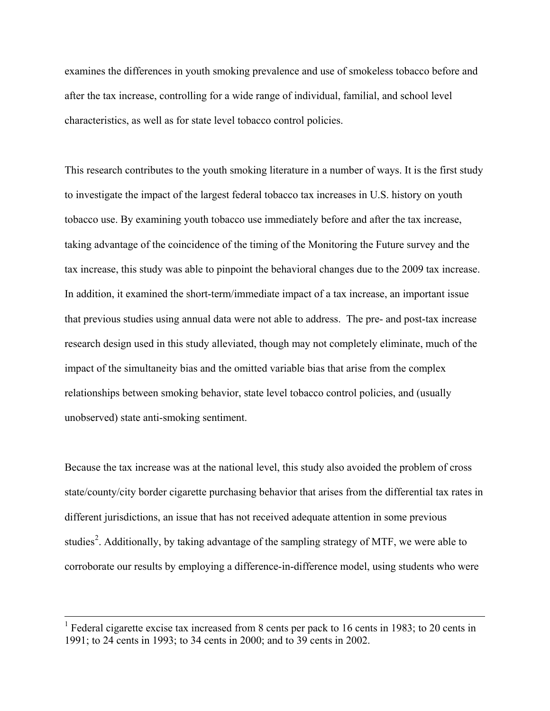examines the differences in youth smoking prevalence and use of smokeless tobacco before and after the tax increase, controlling for a wide range of individual, familial, and school level characteristics, as well as for state level tobacco control policies.

This research contributes to the youth smoking literature in a number of ways. It is the first study to investigate the impact of the largest federal tobacco tax increases in U.S. history on youth tobacco use. By examining youth tobacco use immediately before and after the tax increase, taking advantage of the coincidence of the timing of the Monitoring the Future survey and the tax increase, this study was able to pinpoint the behavioral changes due to the 2009 tax increase. In addition, it examined the short-term/immediate impact of a tax increase, an important issue that previous studies using annual data were not able to address. The pre- and post-tax increase research design used in this study alleviated, though may not completely eliminate, much of the impact of the simultaneity bias and the omitted variable bias that arise from the complex relationships between smoking behavior, state level tobacco control policies, and (usually unobserved) state anti-smoking sentiment.

Because the tax increase was at the national level, this study also avoided the problem of cross state/county/city border cigarette purchasing behavior that arises from the differential tax rates in different jurisdictions, an issue that has not received adequate attention in some previous studies<sup>[2](#page-4-0)</sup>. Additionally, by taking advantage of the sampling strategy of MTF, we were able to corroborate our results by employing a difference-in-difference model, using students who were

<span id="page-4-0"></span><sup>&</sup>lt;sup>1</sup> Federal cigarette excise tax increased from 8 cents per pack to 16 cents in 1983; to 20 cents in 1991; to 24 cents in 1993; to 34 cents in 2000; and to 39 cents in 2002.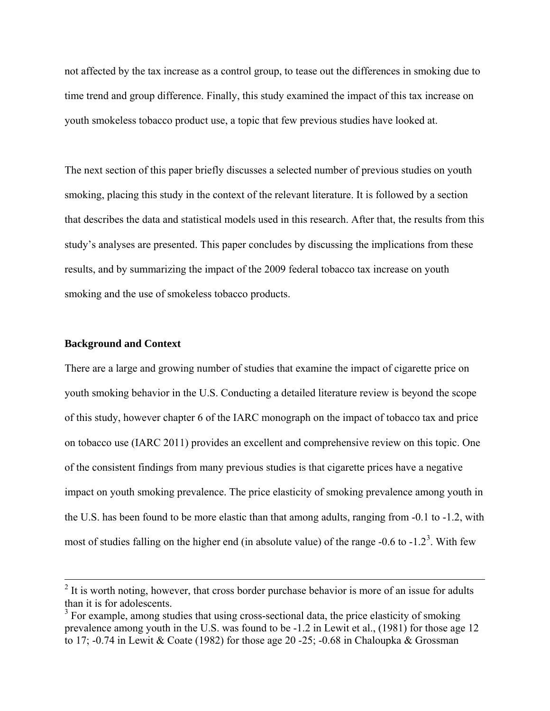not affected by the tax increase as a control group, to tease out the differences in smoking due to time trend and group difference. Finally, this study examined the impact of this tax increase on youth smokeless tobacco product use, a topic that few previous studies have looked at.

The next section of this paper briefly discusses a selected number of previous studies on youth smoking, placing this study in the context of the relevant literature. It is followed by a section that describes the data and statistical models used in this research. After that, the results from this study's analyses are presented. This paper concludes by discussing the implications from these results, and by summarizing the impact of the 2009 federal tobacco tax increase on youth smoking and the use of smokeless tobacco products.

### **Background and Context**

There are a large and growing number of studies that examine the impact of cigarette price on youth smoking behavior in the U.S. Conducting a detailed literature review is beyond the scope of this study, however chapter 6 of the IARC monograph on the impact of tobacco tax and price on tobacco use (IARC 2011) provides an excellent and comprehensive review on this topic. One of the consistent findings from many previous studies is that cigarette prices have a negative impact on youth smoking prevalence. The price elasticity of smoking prevalence among youth in the U.S. has been found to be more elastic than that among adults, ranging from -0.1 to -1.2, with most of studies falling on the higher end (in absolute value) of the range  $-0.6$  to  $-1.2<sup>3</sup>$  $-1.2<sup>3</sup>$  $-1.2<sup>3</sup>$ . With few

 $2<sup>2</sup>$  It is worth noting, however, that cross border purchase behavior is more of an issue for adults than it is for adolescents.

<span id="page-5-0"></span> $3$  For example, among studies that using cross-sectional data, the price elasticity of smoking prevalence among youth in the U.S. was found to be -1.2 in Lewit et al., (1981) for those age 12 to 17; -0.74 in Lewit & Coate (1982) for those age 20 -25; -0.68 in Chaloupka & Grossman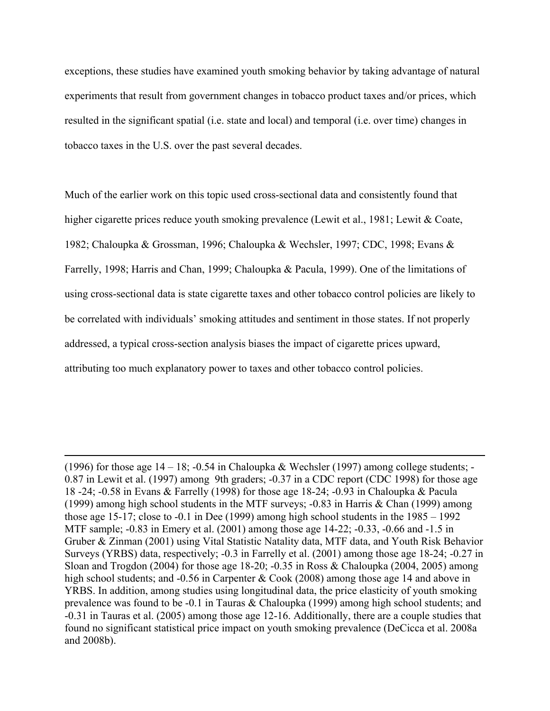exceptions, these studies have examined youth smoking behavior by taking advantage of natural experiments that result from government changes in tobacco product taxes and/or prices, which resulted in the significant spatial (i.e. state and local) and temporal (i.e. over time) changes in tobacco taxes in the U.S. over the past several decades.

Much of the earlier work on this topic used cross-sectional data and consistently found that higher cigarette prices reduce youth smoking prevalence (Lewit et al., 1981; Lewit & Coate, 1982; Chaloupka & Grossman, 1996; Chaloupka & Wechsler, 1997; CDC, 1998; Evans & Farrelly, 1998; Harris and Chan, 1999; Chaloupka & Pacula, 1999). One of the limitations of using cross-sectional data is state cigarette taxes and other tobacco control policies are likely to be correlated with individuals' smoking attitudes and sentiment in those states. If not properly addressed, a typical cross-section analysis biases the impact of cigarette prices upward, attributing too much explanatory power to taxes and other tobacco control policies.

<sup>(1996)</sup> for those age  $14 - 18$ ;  $-0.54$  in Chaloupka & Wechsler (1997) among college students; 0.87 in Lewit et al. (1997) among 9th graders; -0.37 in a CDC report (CDC 1998) for those age 18 -24; -0.58 in Evans & Farrelly (1998) for those age 18-24; -0.93 in Chaloupka & Pacula (1999) among high school students in the MTF surveys; -0.83 in Harris & Chan (1999) among those age 15-17; close to -0.1 in Dee (1999) among high school students in the 1985 – 1992 MTF sample; -0.83 in Emery et al. (2001) among those age 14-22; -0.33, -0.66 and -1.5 in Gruber & Zinman (2001) using Vital Statistic Natality data, MTF data, and Youth Risk Behavior Surveys (YRBS) data, respectively; -0.3 in Farrelly et al. (2001) among those age 18-24; -0.27 in Sloan and Trogdon (2004) for those age 18-20; -0.35 in Ross & Chaloupka (2004, 2005) among high school students; and -0.56 in Carpenter & Cook (2008) among those age 14 and above in YRBS. In addition, among studies using longitudinal data, the price elasticity of youth smoking prevalence was found to be -0.1 in Tauras & Chaloupka (1999) among high school students; and -0.31 in Tauras et al. (2005) among those age 12-16. Additionally, there are a couple studies that found no significant statistical price impact on youth smoking prevalence (DeCicca et al. 2008a and 2008b).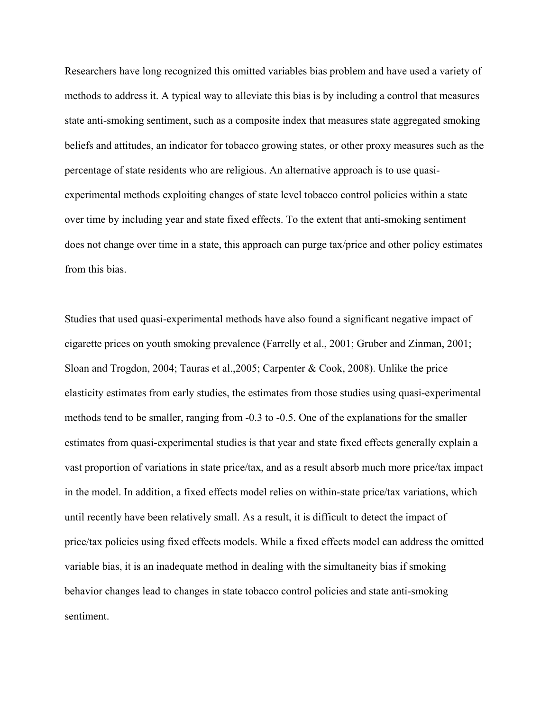Researchers have long recognized this omitted variables bias problem and have used a variety of methods to address it. A typical way to alleviate this bias is by including a control that measures state anti-smoking sentiment, such as a composite index that measures state aggregated smoking beliefs and attitudes, an indicator for tobacco growing states, or other proxy measures such as the percentage of state residents who are religious. An alternative approach is to use quasiexperimental methods exploiting changes of state level tobacco control policies within a state over time by including year and state fixed effects. To the extent that anti-smoking sentiment does not change over time in a state, this approach can purge tax/price and other policy estimates from this bias.

Studies that used quasi-experimental methods have also found a significant negative impact of cigarette prices on youth smoking prevalence (Farrelly et al., 2001; Gruber and Zinman, 2001; Sloan and Trogdon, 2004; Tauras et al.,2005; Carpenter & Cook, 2008). Unlike the price elasticity estimates from early studies, the estimates from those studies using quasi-experimental methods tend to be smaller, ranging from -0.3 to -0.5. One of the explanations for the smaller estimates from quasi-experimental studies is that year and state fixed effects generally explain a vast proportion of variations in state price/tax, and as a result absorb much more price/tax impact in the model. In addition, a fixed effects model relies on within-state price/tax variations, which until recently have been relatively small. As a result, it is difficult to detect the impact of price/tax policies using fixed effects models. While a fixed effects model can address the omitted variable bias, it is an inadequate method in dealing with the simultaneity bias if smoking behavior changes lead to changes in state tobacco control policies and state anti-smoking sentiment.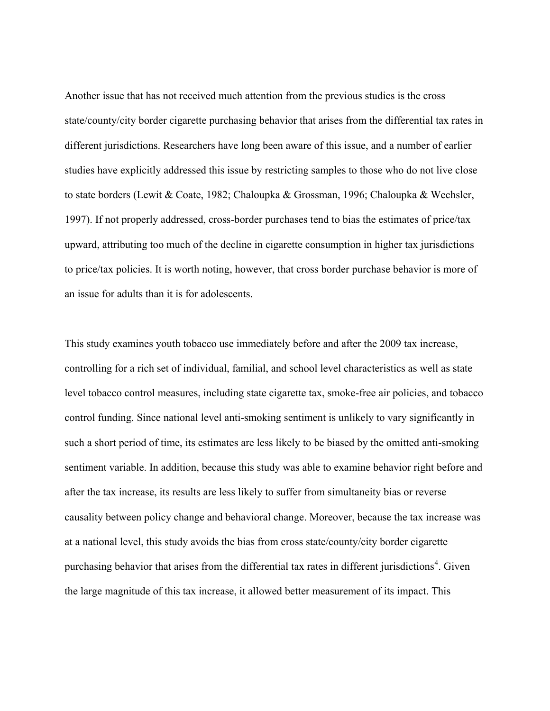Another issue that has not received much attention from the previous studies is the cross state/county/city border cigarette purchasing behavior that arises from the differential tax rates in different jurisdictions. Researchers have long been aware of this issue, and a number of earlier studies have explicitly addressed this issue by restricting samples to those who do not live close to state borders (Lewit & Coate, 1982; Chaloupka & Grossman, 1996; Chaloupka & Wechsler, 1997). If not properly addressed, cross-border purchases tend to bias the estimates of price/tax upward, attributing too much of the decline in cigarette consumption in higher tax jurisdictions to price/tax policies. It is worth noting, however, that cross border purchase behavior is more of an issue for adults than it is for adolescents.

<span id="page-8-0"></span>This study examines youth tobacco use immediately before and after the 2009 tax increase, controlling for a rich set of individual, familial, and school level characteristics as well as state level tobacco control measures, including state cigarette tax, smoke-free air policies, and tobacco control funding. Since national level anti-smoking sentiment is unlikely to vary significantly in such a short period of time, its estimates are less likely to be biased by the omitted anti-smoking sentiment variable. In addition, because this study was able to examine behavior right before and after the tax increase, its results are less likely to suffer from simultaneity bias or reverse causality between policy change and behavioral change. Moreover, because the tax increase was at a national level, this study avoids the bias from cross state/county/city border cigarette purchasing behavior that arises from the differential tax rates in different jurisdictions<sup>[4](#page-8-0)</sup>. Given the large magnitude of this tax increase, it allowed better measurement of its impact. This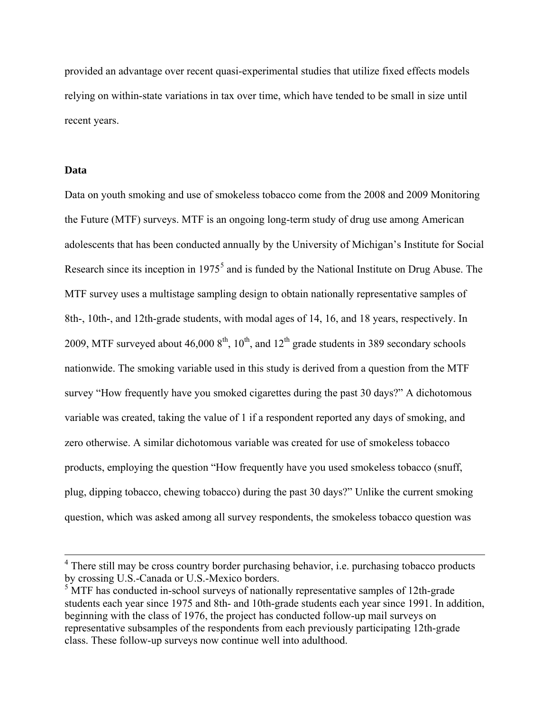provided an advantage over recent quasi-experimental studies that utilize fixed effects models relying on within-state variations in tax over time, which have tended to be small in size until recent years.

### **Data**

Data on youth smoking and use of smokeless tobacco come from the 2008 and 2009 Monitoring the Future (MTF) surveys. MTF is an ongoing long-term study of drug use among American adolescents that has been conducted annually by the University of Michigan's Institute for Social Research since its inception in  $1975<sup>5</sup>$  $1975<sup>5</sup>$  $1975<sup>5</sup>$  and is funded by the National Institute on Drug Abuse. The MTF survey uses a multistage sampling design to obtain nationally representative samples of 8th-, 10th-, and 12th-grade students, with modal ages of 14, 16, and 18 years, respectively. In 2009, MTF surveyed about  $46,0008^{\text{th}}$ ,  $10^{\text{th}}$ , and  $12^{\text{th}}$  grade students in 389 secondary schools nationwide. The smoking variable used in this study is derived from a question from the MTF survey "How frequently have you smoked cigarettes during the past 30 days?" A dichotomous variable was created, taking the value of 1 if a respondent reported any days of smoking, and zero otherwise. A similar dichotomous variable was created for use of smokeless tobacco products, employing the question "How frequently have you used smokeless tobacco (snuff, plug, dipping tobacco, chewing tobacco) during the past 30 days?" Unlike the current smoking question, which was asked among all survey respondents, the smokeless tobacco question was

<sup>&</sup>lt;sup>4</sup> There still may be cross country border purchasing behavior, i.e. purchasing tobacco products by crossing U.S.-Canada or U.S.-Mexico borders.

<span id="page-9-0"></span><sup>&</sup>lt;sup>5</sup> MTF has conducted in-school surveys of nationally representative samples of 12th-grade students each year since 1975 and 8th- and 10th-grade students each year since 1991. In addition, beginning with the class of 1976, the project has conducted follow-up mail surveys on representative subsamples of the respondents from each previously participating 12th-grade class. These follow-up surveys now continue well into adulthood.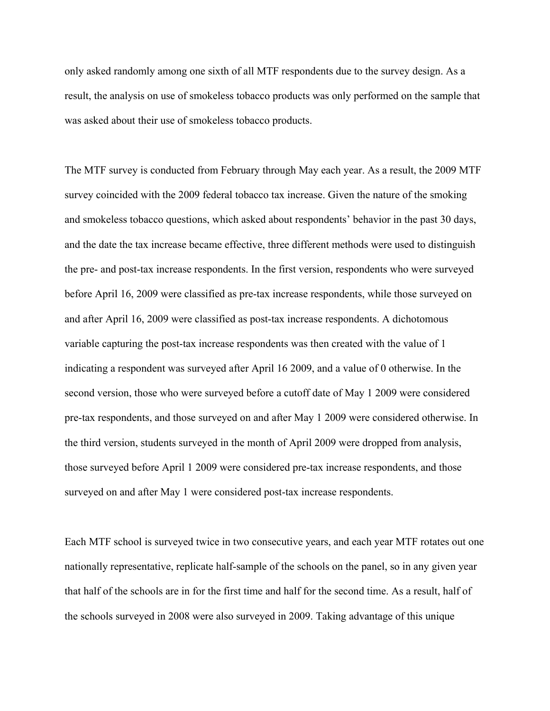only asked randomly among one sixth of all MTF respondents due to the survey design. As a result, the analysis on use of smokeless tobacco products was only performed on the sample that was asked about their use of smokeless tobacco products.

The MTF survey is conducted from February through May each year. As a result, the 2009 MTF survey coincided with the 2009 federal tobacco tax increase. Given the nature of the smoking and smokeless tobacco questions, which asked about respondents' behavior in the past 30 days, and the date the tax increase became effective, three different methods were used to distinguish the pre- and post-tax increase respondents. In the first version, respondents who were surveyed before April 16, 2009 were classified as pre-tax increase respondents, while those surveyed on and after April 16, 2009 were classified as post-tax increase respondents. A dichotomous variable capturing the post-tax increase respondents was then created with the value of 1 indicating a respondent was surveyed after April 16 2009, and a value of 0 otherwise. In the second version, those who were surveyed before a cutoff date of May 1 2009 were considered pre-tax respondents, and those surveyed on and after May 1 2009 were considered otherwise. In the third version, students surveyed in the month of April 2009 were dropped from analysis, those surveyed before April 1 2009 were considered pre-tax increase respondents, and those surveyed on and after May 1 were considered post-tax increase respondents.

Each MTF school is surveyed twice in two consecutive years, and each year MTF rotates out one nationally representative, replicate half-sample of the schools on the panel, so in any given year that half of the schools are in for the first time and half for the second time. As a result, half of the schools surveyed in 2008 were also surveyed in 2009. Taking advantage of this unique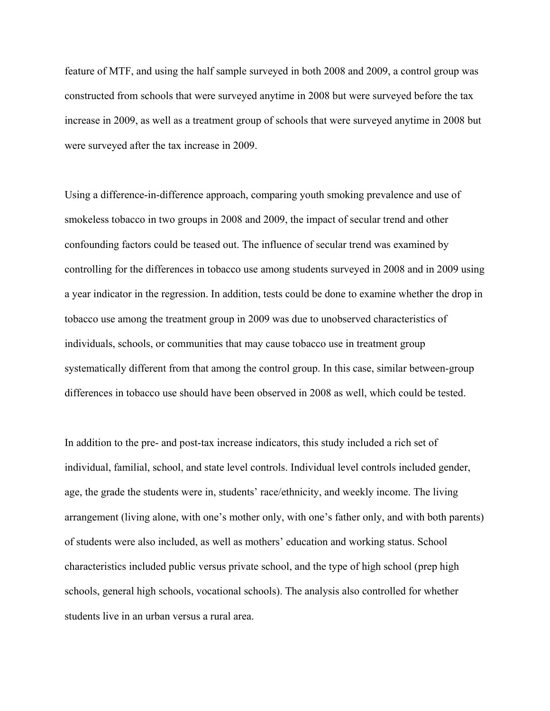feature of MTF, and using the half sample surveyed in both 2008 and 2009, a control group was constructed from schools that were surveyed anytime in 2008 but were surveyed before the tax increase in 2009, as well as a treatment group of schools that were surveyed anytime in 2008 but were surveyed after the tax increase in 2009.

Using a difference-in-difference approach, comparing youth smoking prevalence and use of smokeless tobacco in two groups in 2008 and 2009, the impact of secular trend and other confounding factors could be teased out. The influence of secular trend was examined by controlling for the differences in tobacco use among students surveyed in 2008 and in 2009 using a year indicator in the regression. In addition, tests could be done to examine whether the drop in tobacco use among the treatment group in 2009 was due to unobserved characteristics of individuals, schools, or communities that may cause tobacco use in treatment group systematically different from that among the control group. In this case, similar between-group differences in tobacco use should have been observed in 2008 as well, which could be tested.

In addition to the pre- and post-tax increase indicators, this study included a rich set of individual, familial, school, and state level controls. Individual level controls included gender, age, the grade the students were in, students' race/ethnicity, and weekly income. The living arrangement (living alone, with one's mother only, with one's father only, and with both parents) of students were also included, as well as mothers' education and working status. School characteristics included public versus private school, and the type of high school (prep high schools, general high schools, vocational schools). The analysis also controlled for whether students live in an urban versus a rural area.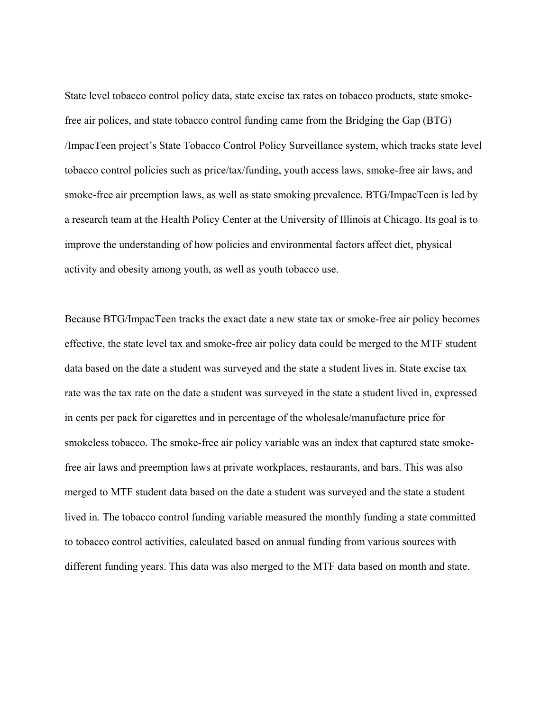State level tobacco control policy data, state excise tax rates on tobacco products, state smokefree air polices, and state tobacco control funding came from the Bridging the Gap (BTG) /ImpacTeen project's State Tobacco Control Policy Surveillance system, which tracks state level tobacco control policies such as price/tax/funding, youth access laws, smoke-free air laws, and smoke-free air preemption laws, as well as state smoking prevalence. BTG/ImpacTeen is led by a research team at the Health Policy Center at the University of Illinois at Chicago. Its goal is to improve the understanding of how policies and environmental factors affect diet, physical activity and obesity among youth, as well as youth tobacco use.

Because BTG/ImpacTeen tracks the exact date a new state tax or smoke-free air policy becomes effective, the state level tax and smoke-free air policy data could be merged to the MTF student data based on the date a student was surveyed and the state a student lives in. State excise tax rate was the tax rate on the date a student was surveyed in the state a student lived in, expressed in cents per pack for cigarettes and in percentage of the wholesale/manufacture price for smokeless tobacco. The smoke-free air policy variable was an index that captured state smokefree air laws and preemption laws at private workplaces, restaurants, and bars. This was also merged to MTF student data based on the date a student was surveyed and the state a student lived in. The tobacco control funding variable measured the monthly funding a state committed to tobacco control activities, calculated based on annual funding from various sources with different funding years. This data was also merged to the MTF data based on month and state.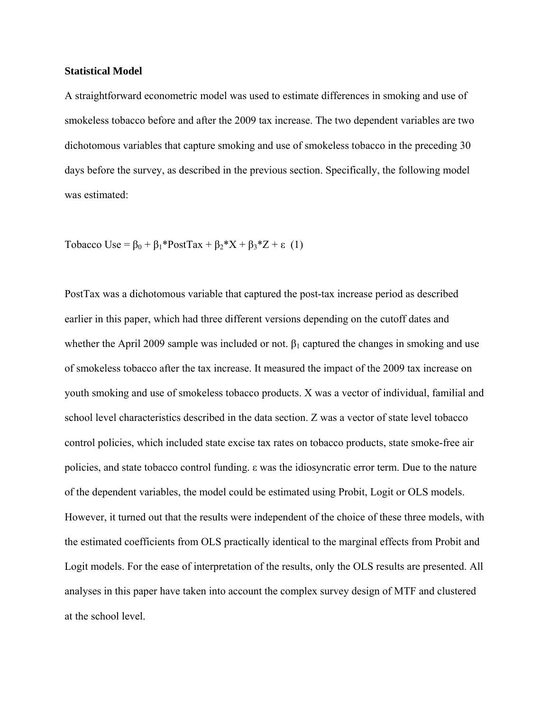#### **Statistical Model**

A straightforward econometric model was used to estimate differences in smoking and use of smokeless tobacco before and after the 2009 tax increase. The two dependent variables are two dichotomous variables that capture smoking and use of smokeless tobacco in the preceding 30 days before the survey, as described in the previous section. Specifically, the following model was estimated:

Tobacco Use =  $\beta_0 + \beta_1*PostTax + \beta_2*X + \beta_3*Z + \epsilon$  (1)

PostTax was a dichotomous variable that captured the post-tax increase period as described earlier in this paper, which had three different versions depending on the cutoff dates and whether the April 2009 sample was included or not.  $\beta_1$  captured the changes in smoking and use of smokeless tobacco after the tax increase. It measured the impact of the 2009 tax increase on youth smoking and use of smokeless tobacco products. X was a vector of individual, familial and school level characteristics described in the data section. Z was a vector of state level tobacco control policies, which included state excise tax rates on tobacco products, state smoke-free air policies, and state tobacco control funding. ε was the idiosyncratic error term. Due to the nature of the dependent variables, the model could be estimated using Probit, Logit or OLS models. However, it turned out that the results were independent of the choice of these three models, with the estimated coefficients from OLS practically identical to the marginal effects from Probit and Logit models. For the ease of interpretation of the results, only the OLS results are presented. All analyses in this paper have taken into account the complex survey design of MTF and clustered at the school level.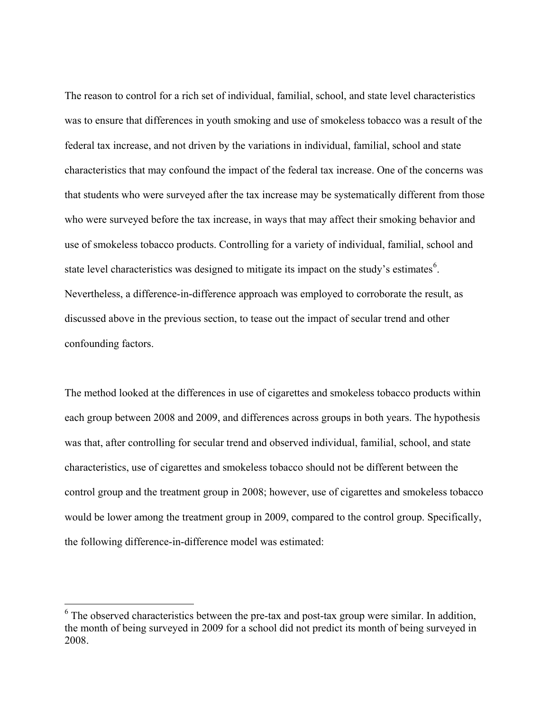The reason to control for a rich set of individual, familial, school, and state level characteristics was to ensure that differences in youth smoking and use of smokeless tobacco was a result of the federal tax increase, and not driven by the variations in individual, familial, school and state characteristics that may confound the impact of the federal tax increase. One of the concerns was that students who were surveyed after the tax increase may be systematically different from those who were surveyed before the tax increase, in ways that may affect their smoking behavior and use of smokeless tobacco products. Controlling for a variety of individual, familial, school and state level characteristics was designed to mitigate its impact on the study's estimates<sup>[6](#page-14-0)</sup>. Nevertheless, a difference-in-difference approach was employed to corroborate the result, as discussed above in the previous section, to tease out the impact of secular trend and other confounding factors.

The method looked at the differences in use of cigarettes and smokeless tobacco products within each group between 2008 and 2009, and differences across groups in both years. The hypothesis was that, after controlling for secular trend and observed individual, familial, school, and state characteristics, use of cigarettes and smokeless tobacco should not be different between the control group and the treatment group in 2008; however, use of cigarettes and smokeless tobacco would be lower among the treatment group in 2009, compared to the control group. Specifically, the following difference-in-difference model was estimated:

<span id="page-14-0"></span> $6$  The observed characteristics between the pre-tax and post-tax group were similar. In addition, the month of being surveyed in 2009 for a school did not predict its month of being surveyed in 2008.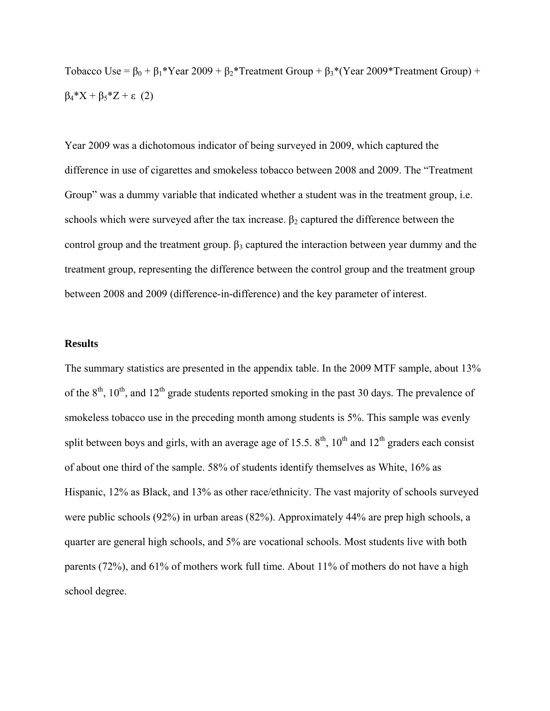Tobacco Use =  $\beta_0 + \beta_1* \text{Year } 2009 + \beta_2* \text{ Treatment Group} + \beta_3* \text{(Year } 2009* \text{ Treatment Group}) +$  $β<sub>4</sub>*X + β<sub>5</sub>*Z + ε (2)$ 

Year 2009 was a dichotomous indicator of being surveyed in 2009, which captured the difference in use of cigarettes and smokeless tobacco between 2008 and 2009. The "Treatment Group" was a dummy variable that indicated whether a student was in the treatment group, i.e. schools which were surveyed after the tax increase.  $\beta_2$  captured the difference between the control group and the treatment group.  $\beta_3$  captured the interaction between year dummy and the treatment group, representing the difference between the control group and the treatment group between 2008 and 2009 (difference-in-difference) and the key parameter of interest.

#### **Results**

The summary statistics are presented in the appendix table. In the 2009 MTF sample, about 13% of the  $8<sup>th</sup>$ ,  $10<sup>th</sup>$ , and  $12<sup>th</sup>$  grade students reported smoking in the past 30 days. The prevalence of smokeless tobacco use in the preceding month among students is 5%. This sample was evenly split between boys and girls, with an average age of 15.5.  $8<sup>th</sup>$ , 10<sup>th</sup> and 12<sup>th</sup> graders each consist of about one third of the sample. 58% of students identify themselves as White, 16% as Hispanic, 12% as Black, and 13% as other race/ethnicity. The vast majority of schools surveyed were public schools (92%) in urban areas (82%). Approximately 44% are prep high schools, a quarter are general high schools, and 5% are vocational schools. Most students live with both parents (72%), and 61% of mothers work full time. About 11% of mothers do not have a high school degree.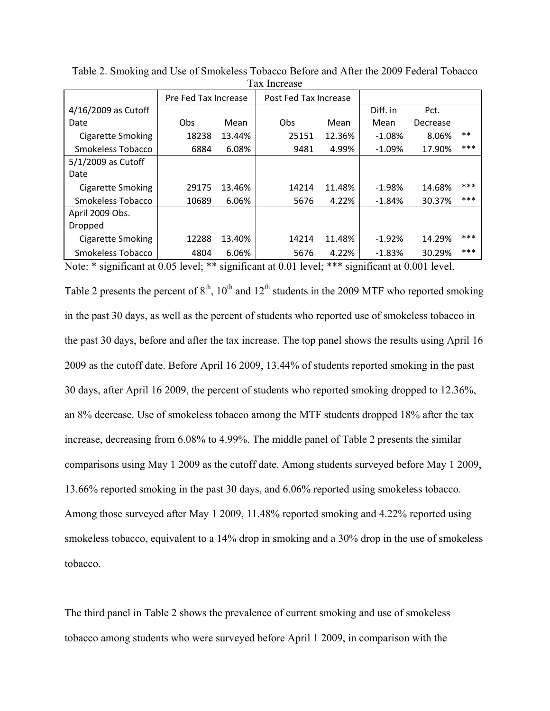| 1 un mortus              |                      |        |                       |        |          |          |       |  |
|--------------------------|----------------------|--------|-----------------------|--------|----------|----------|-------|--|
|                          | Pre Fed Tax Increase |        | Post Fed Tax Increase |        |          |          |       |  |
| 4/16/2009 as Cutoff      |                      |        |                       |        | Diff. in | Pct.     |       |  |
| Date                     | Obs                  | Mean   | Obs                   | Mean   | Mean     | Decrease |       |  |
| <b>Cigarette Smoking</b> | 18238                | 13.44% | 25151                 | 12.36% | $-1.08%$ | 8.06%    | $***$ |  |
| Smokeless Tobacco        | 6884                 | 6.08%  | 9481                  | 4.99%  | $-1.09%$ | 17.90%   | ***   |  |
| 5/1/2009 as Cutoff       |                      |        |                       |        |          |          |       |  |
| Date                     |                      |        |                       |        |          |          |       |  |
| <b>Cigarette Smoking</b> | 29175                | 13.46% | 14214                 | 11.48% | $-1.98%$ | 14.68%   | ***   |  |
| Smokeless Tobacco        | 10689                | 6.06%  | 5676                  | 4.22%  | $-1.84%$ | 30.37%   | ***   |  |
| April 2009 Obs.          |                      |        |                       |        |          |          |       |  |
| Dropped                  |                      |        |                       |        |          |          |       |  |
| <b>Cigarette Smoking</b> | 12288                | 13.40% | 14214                 | 11.48% | $-1.92%$ | 14.29%   | ***   |  |
| Smokeless Tobacco        | 4804                 | 6.06%  | 5676                  | 4.22%  | $-1.83%$ | 30.29%   | ***   |  |

Table 2. Smoking and Use of Smokeless Tobacco Before and After the 2009 Federal Tobacco Tax Increase

Note: \* significant at 0.05 level; \*\* significant at 0.01 level; \*\*\* significant at 0.001 level.

Table 2 presents the percent of  $8<sup>th</sup>$ ,  $10<sup>th</sup>$  and  $12<sup>th</sup>$  students in the 2009 MTF who reported smoking in the past 30 days, as well as the percent of students who reported use of smokeless tobacco in the past 30 days, before and after the tax increase. The top panel shows the results using April 16 2009 as the cutoff date. Before April 16 2009, 13.44% of students reported smoking in the past 30 days, after April 16 2009, the percent of students who reported smoking dropped to 12.36%, an 8% decrease. Use of smokeless tobacco among the MTF students dropped 18% after the tax increase, decreasing from 6.08% to 4.99%. The middle panel of Table 2 presents the similar comparisons using May 1 2009 as the cutoff date. Among students surveyed before May 1 2009, 13.66% reported smoking in the past 30 days, and 6.06% reported using smokeless tobacco. Among those surveyed after May 1 2009, 11.48% reported smoking and 4.22% reported using smokeless tobacco, equivalent to a 14% drop in smoking and a 30% drop in the use of smokeless tobacco.

The third panel in Table 2 shows the prevalence of current smoking and use of smokeless tobacco among students who were surveyed before April 1 2009, in comparison with the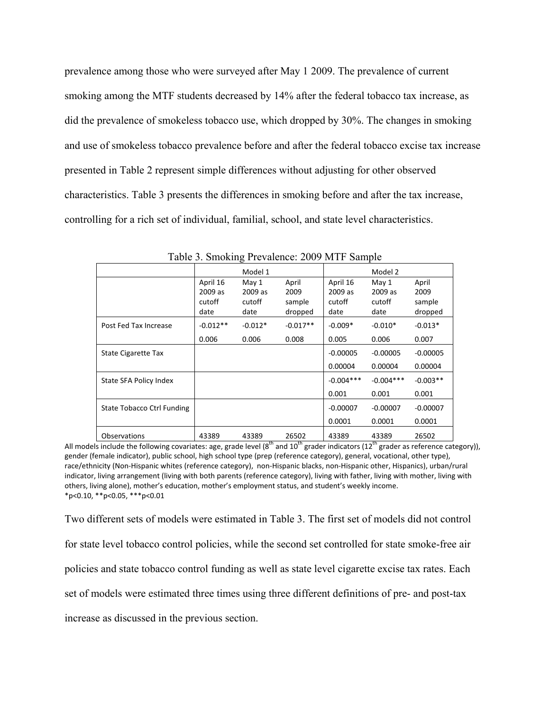prevalence among those who were surveyed after May 1 2009. The prevalence of current smoking among the MTF students decreased by 14% after the federal tobacco tax increase, as did the prevalence of smokeless tobacco use, which dropped by 30%. The changes in smoking and use of smokeless tobacco prevalence before and after the federal tobacco excise tax increase presented in Table 2 represent simple differences without adjusting for other observed characteristics. Table 3 presents the differences in smoking before and after the tax increase, controlling for a rich set of individual, familial, school, and state level characteristics.

|                            |            | Model 1   |            |             | Model 2     |            |
|----------------------------|------------|-----------|------------|-------------|-------------|------------|
|                            | April 16   | May 1     | April      | April 16    | May 1       | April      |
|                            | 2009 as    | 2009 as   | 2009       | 2009 as     | 2009 as     | 2009       |
|                            | cutoff     | cutoff    | sample     | cutoff      | cutoff      | sample     |
|                            | date       | date      | dropped    | date        | date        | dropped    |
| Post Fed Tax Increase      | $-0.012**$ | $-0.012*$ | $-0.017**$ | $-0.009*$   | $-0.010*$   | $-0.013*$  |
|                            | 0.006      | 0.006     | 0.008      | 0.005       | 0.006       | 0.007      |
| State Cigarette Tax        |            |           |            | $-0.00005$  | $-0.00005$  | $-0.00005$ |
|                            |            |           |            | 0.00004     | 0.00004     | 0.00004    |
| State SFA Policy Index     |            |           |            | $-0.004***$ | $-0.004***$ | $-0.003**$ |
|                            |            |           |            | 0.001       | 0.001       | 0.001      |
| State Tobacco Ctrl Funding |            |           |            | $-0.00007$  | $-0.00007$  | $-0.00007$ |
|                            |            |           |            | 0.0001      | 0.0001      | 0.0001     |
| <b>Observations</b>        | 43389      | 43389     | 26502      | 43389       | 43389       | 26502      |

Table 3. Smoking Prevalence: 2009 MTF Sample

All models include the following covariates: age, grade level ( $8<sup>th</sup>$  and  $10<sup>th</sup>$  grader indicators ( $12<sup>th</sup>$  grader as reference category)), gender (female indicator), public school, high school type (prep (reference category), general, vocational, other type), race/ethnicity (Non-Hispanic whites (reference category), non-Hispanic blacks, non-Hispanic other, Hispanics), urban/rural indicator, living arrangement (living with both parents (reference category), living with father, living with mother, living with others, living alone), mother's education, mother's employment status, and student's weekly income.  $*p<0.10$ ,  $*p<0.05$ ,  $***p<0.01$ 

Two different sets of models were estimated in Table 3. The first set of models did not control for state level tobacco control policies, while the second set controlled for state smoke-free air policies and state tobacco control funding as well as state level cigarette excise tax rates. Each set of models were estimated three times using three different definitions of pre- and post-tax increase as discussed in the previous section.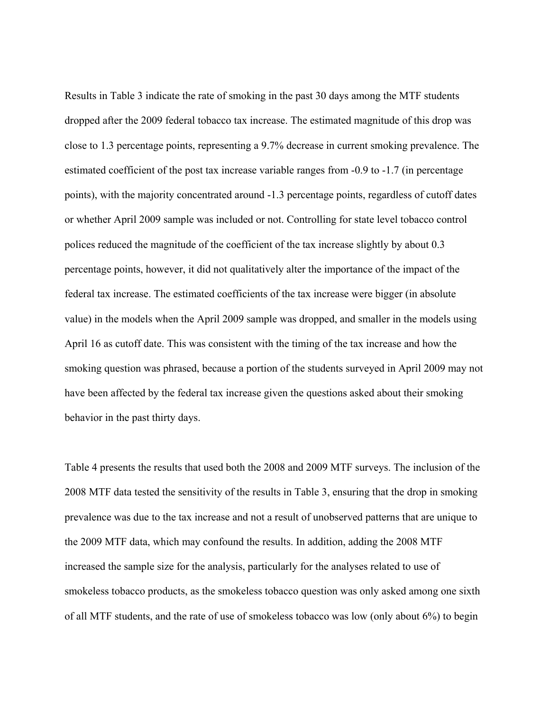Results in Table 3 indicate the rate of smoking in the past 30 days among the MTF students dropped after the 2009 federal tobacco tax increase. The estimated magnitude of this drop was close to 1.3 percentage points, representing a 9.7% decrease in current smoking prevalence. The estimated coefficient of the post tax increase variable ranges from -0.9 to -1.7 (in percentage points), with the majority concentrated around -1.3 percentage points, regardless of cutoff dates or whether April 2009 sample was included or not. Controlling for state level tobacco control polices reduced the magnitude of the coefficient of the tax increase slightly by about 0.3 percentage points, however, it did not qualitatively alter the importance of the impact of the federal tax increase. The estimated coefficients of the tax increase were bigger (in absolute value) in the models when the April 2009 sample was dropped, and smaller in the models using April 16 as cutoff date. This was consistent with the timing of the tax increase and how the smoking question was phrased, because a portion of the students surveyed in April 2009 may not have been affected by the federal tax increase given the questions asked about their smoking behavior in the past thirty days.

Table 4 presents the results that used both the 2008 and 2009 MTF surveys. The inclusion of the 2008 MTF data tested the sensitivity of the results in Table 3, ensuring that the drop in smoking prevalence was due to the tax increase and not a result of unobserved patterns that are unique to the 2009 MTF data, which may confound the results. In addition, adding the 2008 MTF increased the sample size for the analysis, particularly for the analyses related to use of smokeless tobacco products, as the smokeless tobacco question was only asked among one sixth of all MTF students, and the rate of use of smokeless tobacco was low (only about 6%) to begin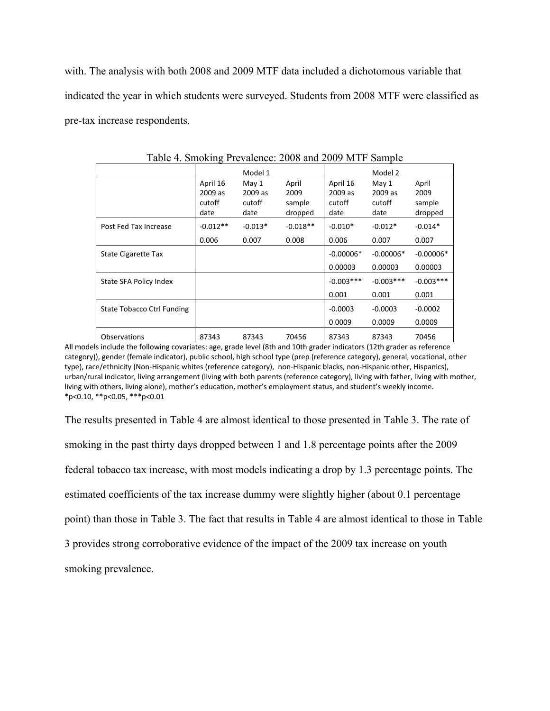with. The analysis with both 2008 and 2009 MTF data included a dichotomous variable that indicated the year in which students were surveyed. Students from 2008 MTF were classified as pre-tax increase respondents.

|                            |                                       | Model 1                            |                                    |                                       | Model 2                            |                                    |
|----------------------------|---------------------------------------|------------------------------------|------------------------------------|---------------------------------------|------------------------------------|------------------------------------|
|                            | April 16<br>2009 as<br>cutoff<br>date | May 1<br>2009 as<br>cutoff<br>date | April<br>2009<br>sample<br>dropped | April 16<br>2009 as<br>cutoff<br>date | May 1<br>2009 as<br>cutoff<br>date | April<br>2009<br>sample<br>dropped |
| Post Fed Tax Increase      | $-0.012**$                            | $-0.013*$                          | $-0.018**$                         | $-0.010*$                             | $-0.012*$                          | $-0.014*$                          |
|                            | 0.006                                 | 0.007                              | 0.008                              | 0.006                                 | 0.007                              | 0.007                              |
| State Cigarette Tax        |                                       |                                    |                                    | $-0.00006*$                           | $-0.00006*$                        | $-0.00006*$                        |
|                            |                                       |                                    |                                    | 0.00003                               | 0.00003                            | 0.00003                            |
| State SFA Policy Index     |                                       |                                    |                                    | $-0.003***$                           | $-0.003***$                        | $-0.003***$                        |
|                            |                                       |                                    |                                    | 0.001                                 | 0.001                              | 0.001                              |
| State Tobacco Ctrl Funding |                                       |                                    |                                    | $-0.0003$                             | $-0.0003$                          | $-0.0002$                          |
|                            |                                       |                                    |                                    | 0.0009                                | 0.0009                             | 0.0009                             |
| <b>Observations</b>        | 87343                                 | 87343                              | 70456                              | 87343                                 | 87343                              | 70456                              |

Table 4. Smoking Prevalence: 2008 and 2009 MTF Sample

All models include the following covariates: age, grade level (8th and 10th grader indicators (12th grader as reference category)), gender (female indicator), public school, high school type (prep (reference category), general, vocational, other type), race/ethnicity (Non-Hispanic whites (reference category), non-Hispanic blacks, non-Hispanic other, Hispanics), urban/rural indicator, living arrangement (living with both parents (reference category), living with father, living with mother, living with others, living alone), mother's education, mother's employment status, and student's weekly income. \*p<0.10, \*\*p<0.05, \*\*\*p<0.01

The results presented in Table 4 are almost identical to those presented in Table 3. The rate of smoking in the past thirty days dropped between 1 and 1.8 percentage points after the 2009 federal tobacco tax increase, with most models indicating a drop by 1.3 percentage points. The estimated coefficients of the tax increase dummy were slightly higher (about 0.1 percentage point) than those in Table 3. The fact that results in Table 4 are almost identical to those in Table 3 provides strong corroborative evidence of the impact of the 2009 tax increase on youth smoking prevalence.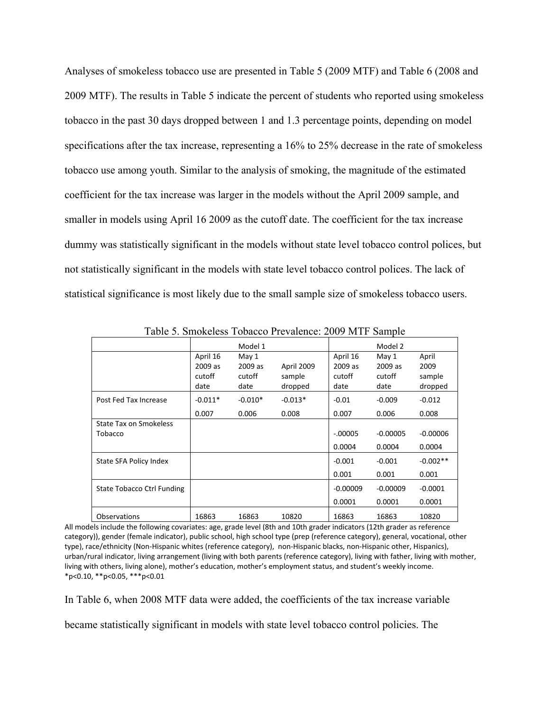Analyses of smokeless tobacco use are presented in Table 5 (2009 MTF) and Table 6 (2008 and 2009 MTF). The results in Table 5 indicate the percent of students who reported using smokeless tobacco in the past 30 days dropped between 1 and 1.3 percentage points, depending on model specifications after the tax increase, representing a 16% to 25% decrease in the rate of smokeless tobacco use among youth. Similar to the analysis of smoking, the magnitude of the estimated coefficient for the tax increase was larger in the models without the April 2009 sample, and smaller in models using April 16 2009 as the cutoff date. The coefficient for the tax increase dummy was statistically significant in the models without state level tobacco control polices, but not statistically significant in the models with state level tobacco control polices. The lack of statistical significance is most likely due to the small sample size of smokeless tobacco users.

| Table J. Billonerss Tobacco Trevalence. 2007 IVITI Ballipic |                                       |                                    |                                 |                                       |                                    |                                    |  |  |
|-------------------------------------------------------------|---------------------------------------|------------------------------------|---------------------------------|---------------------------------------|------------------------------------|------------------------------------|--|--|
|                                                             |                                       | Model 1                            |                                 | Model 2                               |                                    |                                    |  |  |
|                                                             | April 16<br>2009 as<br>cutoff<br>date | May 1<br>2009 as<br>cutoff<br>date | April 2009<br>sample<br>dropped | April 16<br>2009 as<br>cutoff<br>date | May 1<br>2009 as<br>cutoff<br>date | April<br>2009<br>sample<br>dropped |  |  |
| Post Fed Tax Increase                                       | $-0.011*$                             | $-0.010*$                          | $-0.013*$                       | $-0.01$                               | $-0.009$                           | $-0.012$                           |  |  |
|                                                             | 0.007                                 | 0.006                              | 0.008                           | 0.007                                 | 0.006                              | 0.008                              |  |  |
| <b>State Tax on Smokeless</b><br>Tobacco                    |                                       |                                    |                                 | $-.00005$<br>0.0004                   | $-0.00005$<br>0.0004               | $-0.00006$<br>0.0004               |  |  |
| State SFA Policy Index                                      |                                       |                                    |                                 | $-0.001$<br>0.001                     | $-0.001$<br>0.001                  | $-0.002**$<br>0.001                |  |  |
| State Tobacco Ctrl Funding                                  |                                       |                                    |                                 | $-0.00009$<br>0.0001                  | $-0.00009$<br>0.0001               | $-0.0001$<br>0.0001                |  |  |
| <b>Observations</b>                                         | 16863                                 | 16863                              | 10820                           | 16863                                 | 16863                              | 10820                              |  |  |

Table 5. Smokeless Tobacco Prevalence: 2009 MTF Sample

All models include the following covariates: age, grade level (8th and 10th grader indicators (12th grader as reference category)), gender (female indicator), public school, high school type (prep (reference category), general, vocational, other type), race/ethnicity (Non-Hispanic whites (reference category), non-Hispanic blacks, non-Hispanic other, Hispanics), urban/rural indicator, living arrangement (living with both parents (reference category), living with father, living with mother, living with others, living alone), mother's education, mother's employment status, and student's weekly income. \*p<0.10, \*\*p<0.05, \*\*\*p<0.01

In Table 6, when 2008 MTF data were added, the coefficients of the tax increase variable

became statistically significant in models with state level tobacco control policies. The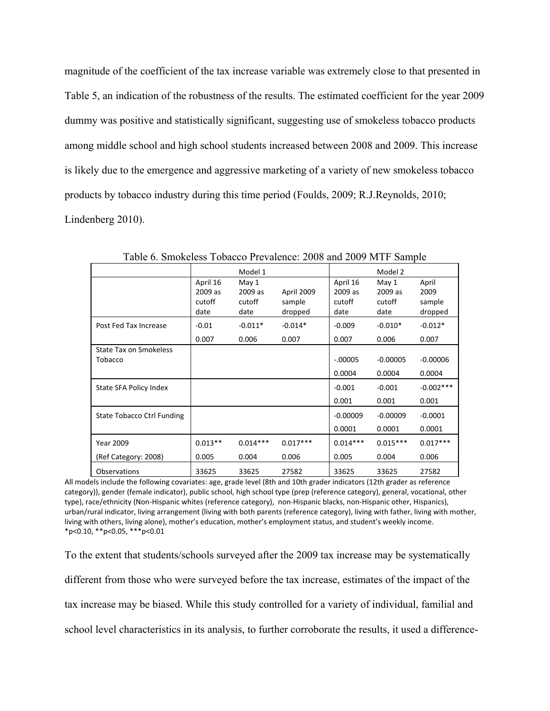magnitude of the coefficient of the tax increase variable was extremely close to that presented in Table 5, an indication of the robustness of the results. The estimated coefficient for the year 2009 dummy was positive and statistically significant, suggesting use of smokeless tobacco products among middle school and high school students increased between 2008 and 2009. This increase is likely due to the emergence and aggressive marketing of a variety of new smokeless tobacco products by tobacco industry during this time period (Foulds, 2009; R.J.Reynolds, 2010; Lindenberg 2010).

|                                   |                                       | Model 1                            |                                 |                                       | Model 2                            |                                    |
|-----------------------------------|---------------------------------------|------------------------------------|---------------------------------|---------------------------------------|------------------------------------|------------------------------------|
|                                   | April 16<br>2009 as<br>cutoff<br>date | May 1<br>2009 as<br>cutoff<br>date | April 2009<br>sample<br>dropped | April 16<br>2009 as<br>cutoff<br>date | May 1<br>2009 as<br>cutoff<br>date | April<br>2009<br>sample<br>dropped |
| Post Fed Tax Increase             | $-0.01$<br>0.007                      | $-0.011*$<br>0.006                 | $-0.014*$<br>0.007              | $-0.009$<br>0.007                     | $-0.010*$<br>0.006                 | $-0.012*$<br>0.007                 |
| State Tax on Smokeless<br>Tobacco |                                       |                                    |                                 | $-.00005$<br>0.0004                   | $-0.00005$<br>0.0004               | $-0.00006$<br>0.0004               |
| State SFA Policy Index            |                                       |                                    |                                 | $-0.001$<br>0.001                     | $-0.001$<br>0.001                  | $-0.002$ ***<br>0.001              |
| State Tobacco Ctrl Funding        |                                       |                                    |                                 | $-0.00009$<br>0.0001                  | $-0.00009$<br>0.0001               | $-0.0001$<br>0.0001                |
| <b>Year 2009</b>                  | $0.013**$                             | $0.014***$                         | $0.017***$                      | $0.014***$                            | $0.015***$                         | $0.017***$                         |
| (Ref Category: 2008)              | 0.005                                 | 0.004                              | 0.006                           | 0.005                                 | 0.004                              | 0.006                              |
| <b>Observations</b>               | 33625                                 | 33625                              | 27582                           | 33625                                 | 33625                              | 27582                              |

Table 6. Smokeless Tobacco Prevalence: 2008 and 2009 MTF Sample

All models include the following covariates: age, grade level (8th and 10th grader indicators (12th grader as reference category)), gender (female indicator), public school, high school type (prep (reference category), general, vocational, other type), race/ethnicity (Non-Hispanic whites (reference category), non-Hispanic blacks, non-Hispanic other, Hispanics), urban/rural indicator, living arrangement (living with both parents (reference category), living with father, living with mother, living with others, living alone), mother's education, mother's employment status, and student's weekly income. \*p<0.10, \*\*p<0.05, \*\*\*p<0.01

To the extent that students/schools surveyed after the 2009 tax increase may be systematically different from those who were surveyed before the tax increase, estimates of the impact of the tax increase may be biased. While this study controlled for a variety of individual, familial and school level characteristics in its analysis, to further corroborate the results, it used a difference-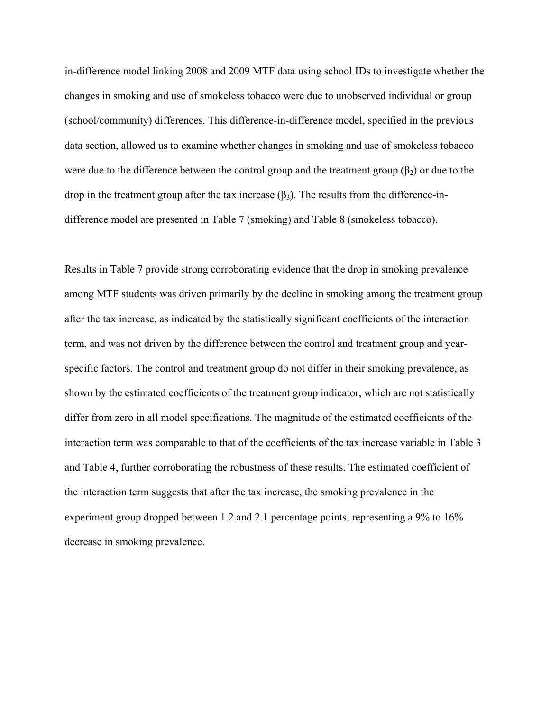in-difference model linking 2008 and 2009 MTF data using school IDs to investigate whether the changes in smoking and use of smokeless tobacco were due to unobserved individual or group (school/community) differences. This difference-in-difference model, specified in the previous data section, allowed us to examine whether changes in smoking and use of smokeless tobacco were due to the difference between the control group and the treatment group  $(\beta_2)$  or due to the drop in the treatment group after the tax increase  $(\beta_3)$ . The results from the difference-indifference model are presented in Table 7 (smoking) and Table 8 (smokeless tobacco).

Results in Table 7 provide strong corroborating evidence that the drop in smoking prevalence among MTF students was driven primarily by the decline in smoking among the treatment group after the tax increase, as indicated by the statistically significant coefficients of the interaction term, and was not driven by the difference between the control and treatment group and yearspecific factors. The control and treatment group do not differ in their smoking prevalence, as shown by the estimated coefficients of the treatment group indicator, which are not statistically differ from zero in all model specifications. The magnitude of the estimated coefficients of the interaction term was comparable to that of the coefficients of the tax increase variable in Table 3 and Table 4, further corroborating the robustness of these results. The estimated coefficient of the interaction term suggests that after the tax increase, the smoking prevalence in the experiment group dropped between 1.2 and 2.1 percentage points, representing a 9% to 16% decrease in smoking prevalence.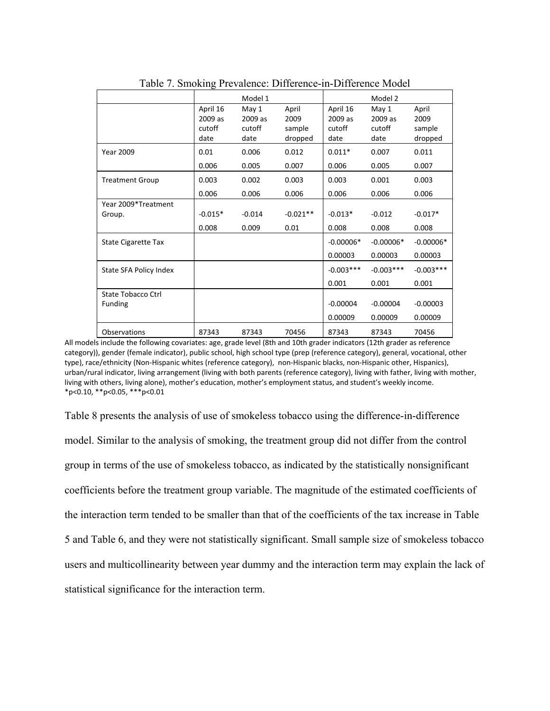|                                      |                                       | Model 1                            |                                    |                                       | Model 2                            |                                    |  |
|--------------------------------------|---------------------------------------|------------------------------------|------------------------------------|---------------------------------------|------------------------------------|------------------------------------|--|
|                                      | April 16<br>2009 as<br>cutoff<br>date | May 1<br>2009 as<br>cutoff<br>date | April<br>2009<br>sample<br>dropped | April 16<br>2009 as<br>cutoff<br>date | May 1<br>2009 as<br>cutoff<br>date | April<br>2009<br>sample<br>dropped |  |
| <b>Year 2009</b>                     | 0.01                                  | 0.006                              | 0.012                              | $0.011*$                              | 0.007                              | 0.011                              |  |
|                                      | 0.006                                 | 0.005                              | 0.007                              | 0.006                                 | 0.005                              | 0.007                              |  |
| <b>Treatment Group</b>               | 0.003                                 | 0.002                              | 0.003                              | 0.003                                 | 0.001                              | 0.003                              |  |
|                                      | 0.006                                 | 0.006                              | 0.006                              | 0.006                                 | 0.006                              | 0.006                              |  |
| Year 2009*Treatment<br>Group.        | $-0.015*$<br>0.008                    | $-0.014$<br>0.009                  | $-0.021**$<br>0.01                 | $-0.013*$<br>0.008                    | $-0.012$<br>0.008                  | $-0.017*$<br>0.008                 |  |
| State Cigarette Tax                  |                                       |                                    |                                    | $-0.00006*$<br>0.00003                | $-0.00006*$<br>0.00003             | $-0.00006*$<br>0.00003             |  |
| State SFA Policy Index               |                                       |                                    |                                    | $-0.003***$<br>0.001                  | $-0.003***$<br>0.001               | $-0.003***$<br>0.001               |  |
| State Tobacco Ctrl<br><b>Funding</b> |                                       |                                    |                                    | $-0.00004$<br>0.00009                 | $-0.00004$<br>0.00009              | $-0.00003$<br>0.00009              |  |
| Observations                         | 87343                                 | 87343                              | 70456                              | 87343                                 | 87343                              | 70456                              |  |

Table 7. Smoking Prevalence: Difference-in-Difference Model

All models include the following covariates: age, grade level (8th and 10th grader indicators (12th grader as reference category)), gender (female indicator), public school, high school type (prep (reference category), general, vocational, other type), race/ethnicity (Non-Hispanic whites (reference category), non-Hispanic blacks, non-Hispanic other, Hispanics), urban/rural indicator, living arrangement (living with both parents (reference category), living with father, living with mother, living with others, living alone), mother's education, mother's employment status, and student's weekly income. \*p<0.10, \*\*p<0.05, \*\*\*p<0.01

Table 8 presents the analysis of use of smokeless tobacco using the difference-in-difference model. Similar to the analysis of smoking, the treatment group did not differ from the control group in terms of the use of smokeless tobacco, as indicated by the statistically nonsignificant coefficients before the treatment group variable. The magnitude of the estimated coefficients of the interaction term tended to be smaller than that of the coefficients of the tax increase in Table 5 and Table 6, and they were not statistically significant. Small sample size of smokeless tobacco users and multicollinearity between year dummy and the interaction term may explain the lack of statistical significance for the interaction term.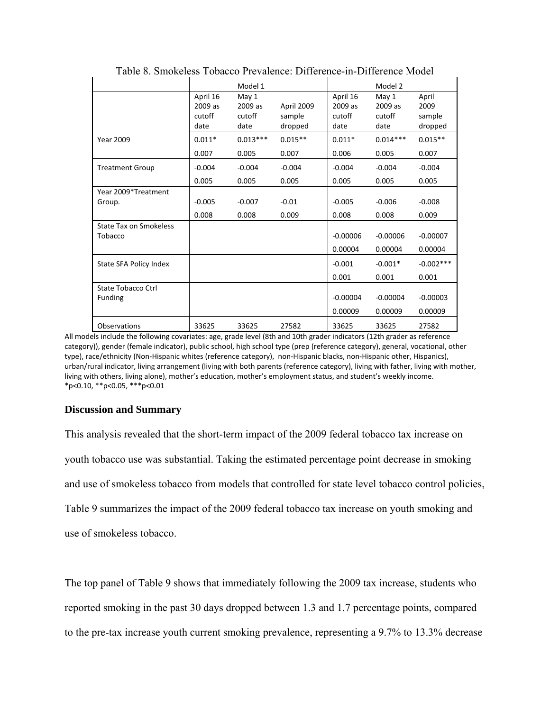|                        |          | Model 1    |            |            | Model 2    |             |
|------------------------|----------|------------|------------|------------|------------|-------------|
|                        | April 16 | May 1      |            | April 16   | May 1      | April       |
|                        | 2009 as  | 2009 as    | April 2009 | 2009 as    | 2009 as    | 2009        |
|                        | cutoff   | cutoff     | sample     | cutoff     | cutoff     | sample      |
|                        | date     | date       | dropped    | date       | date       | dropped     |
| <b>Year 2009</b>       | $0.011*$ | $0.013***$ | $0.015**$  | $0.011*$   | $0.014***$ | $0.015**$   |
|                        | 0.007    | 0.005      | 0.007      | 0.006      | 0.005      | 0.007       |
| <b>Treatment Group</b> | $-0.004$ | $-0.004$   | $-0.004$   | $-0.004$   | $-0.004$   | $-0.004$    |
|                        | 0.005    | 0.005      | 0.005      | 0.005      | 0.005      | 0.005       |
| Year 2009*Treatment    |          |            |            |            |            |             |
| Group.                 | $-0.005$ | $-0.007$   | $-0.01$    | $-0.005$   | $-0.006$   | $-0.008$    |
|                        | 0.008    | 0.008      | 0.009      | 0.008      | 0.008      | 0.009       |
| State Tax on Smokeless |          |            |            |            |            |             |
| Tobacco                |          |            |            | $-0.00006$ | $-0.00006$ | $-0.00007$  |
|                        |          |            |            | 0.00004    | 0.00004    | 0.00004     |
| State SFA Policy Index |          |            |            | $-0.001$   | $-0.001*$  | $-0.002***$ |
|                        |          |            |            | 0.001      | 0.001      | 0.001       |
| State Tobacco Ctrl     |          |            |            |            |            |             |
| <b>Funding</b>         |          |            |            | $-0.00004$ | $-0.00004$ | $-0.00003$  |
|                        |          |            |            | 0.00009    | 0.00009    | 0.00009     |
| Observations           | 33625    | 33625      | 27582      | 33625      | 33625      | 27582       |

Table 8. Smokeless Tobacco Prevalence: Difference-in-Difference Model

All models include the following covariates: age, grade level (8th and 10th grader indicators (12th grader as reference category)), gender (female indicator), public school, high school type (prep (reference category), general, vocational, other type), race/ethnicity (Non-Hispanic whites (reference category), non-Hispanic blacks, non-Hispanic other, Hispanics), urban/rural indicator, living arrangement (living with both parents (reference category), living with father, living with mother, living with others, living alone), mother's education, mother's employment status, and student's weekly income. \*p<0.10, \*\*p<0.05, \*\*\*p<0.01

### **Discussion and Summary**

This analysis revealed that the short-term impact of the 2009 federal tobacco tax increase on youth tobacco use was substantial. Taking the estimated percentage point decrease in smoking and use of smokeless tobacco from models that controlled for state level tobacco control policies, Table 9 summarizes the impact of the 2009 federal tobacco tax increase on youth smoking and use of smokeless tobacco.

The top panel of Table 9 shows that immediately following the 2009 tax increase, students who reported smoking in the past 30 days dropped between 1.3 and 1.7 percentage points, compared to the pre-tax increase youth current smoking prevalence, representing a 9.7% to 13.3% decrease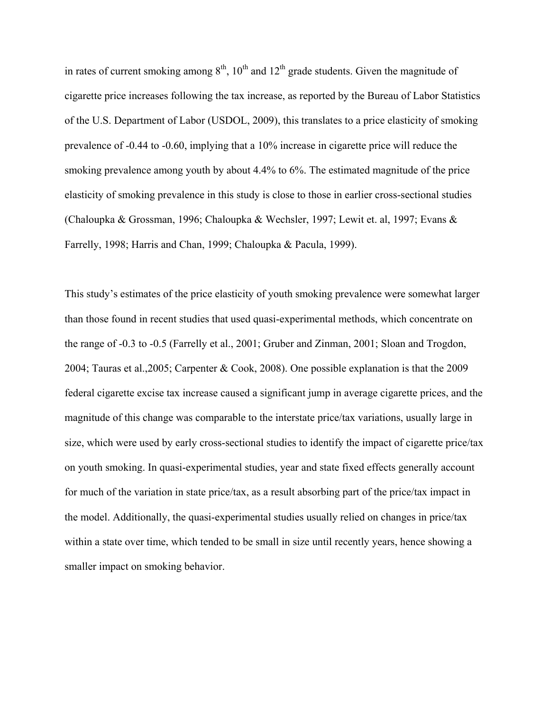in rates of current smoking among  $8<sup>th</sup>$ ,  $10<sup>th</sup>$  and  $12<sup>th</sup>$  grade students. Given the magnitude of cigarette price increases following the tax increase, as reported by the Bureau of Labor Statistics of the U.S. Department of Labor (USDOL, 2009), this translates to a price elasticity of smoking prevalence of -0.44 to -0.60, implying that a 10% increase in cigarette price will reduce the smoking prevalence among youth by about 4.4% to 6%. The estimated magnitude of the price elasticity of smoking prevalence in this study is close to those in earlier cross-sectional studies (Chaloupka & Grossman, 1996; Chaloupka & Wechsler, 1997; Lewit et. al, 1997; Evans & Farrelly, 1998; Harris and Chan, 1999; Chaloupka & Pacula, 1999).

This study's estimates of the price elasticity of youth smoking prevalence were somewhat larger than those found in recent studies that used quasi-experimental methods, which concentrate on the range of -0.3 to -0.5 (Farrelly et al., 2001; Gruber and Zinman, 2001; Sloan and Trogdon, 2004; Tauras et al.,2005; Carpenter & Cook, 2008). One possible explanation is that the 2009 federal cigarette excise tax increase caused a significant jump in average cigarette prices, and the magnitude of this change was comparable to the interstate price/tax variations, usually large in size, which were used by early cross-sectional studies to identify the impact of cigarette price/tax on youth smoking. In quasi-experimental studies, year and state fixed effects generally account for much of the variation in state price/tax, as a result absorbing part of the price/tax impact in the model. Additionally, the quasi-experimental studies usually relied on changes in price/tax within a state over time, which tended to be small in size until recently years, hence showing a smaller impact on smoking behavior.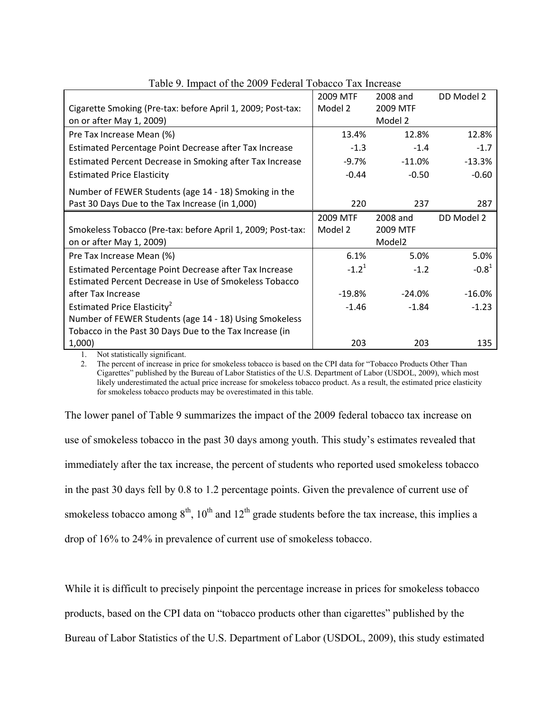| $\frac{1}{2}$ . Impact of the 2009 I cacial Toolleeo Tax first | 2009 MTF   | 2008 and           | DD Model 2 |
|----------------------------------------------------------------|------------|--------------------|------------|
| Cigarette Smoking (Pre-tax: before April 1, 2009; Post-tax:    | Model 2    | 2009 MTF           |            |
| on or after May 1, 2009)                                       |            | Model 2            |            |
| Pre Tax Increase Mean (%)                                      | 13.4%      | 12.8%              | 12.8%      |
| Estimated Percentage Point Decrease after Tax Increase         | $-1.3$     | $-1.4$             | $-1.7$     |
| Estimated Percent Decrease in Smoking after Tax Increase       | $-9.7\%$   | $-11.0\%$          | $-13.3%$   |
| <b>Estimated Price Elasticity</b>                              | $-0.44$    | $-0.50$            | $-0.60$    |
| Number of FEWER Students (age 14 - 18) Smoking in the          |            |                    |            |
| Past 30 Days Due to the Tax Increase (in 1,000)                | 220        | 237                | 287        |
|                                                                | 2009 MTF   | 2008 and           | DD Model 2 |
| Smokeless Tobacco (Pre-tax: before April 1, 2009; Post-tax:    | Model 2    | 2009 MTF           |            |
| on or after May 1, 2009)                                       |            | Model <sub>2</sub> |            |
| Pre Tax Increase Mean (%)                                      | 6.1%       | 5.0%               | 5.0%       |
| Estimated Percentage Point Decrease after Tax Increase         | $-1.2^{1}$ | $-1.2$             | $-0.81$    |
| Estimated Percent Decrease in Use of Smokeless Tobacco         |            |                    |            |
| after Tax Increase                                             | -19.8%     | $-24.0%$           | $-16.0%$   |
| Estimated Price Elasticity <sup>2</sup>                        | $-1.46$    | $-1.84$            | $-1.23$    |
| Number of FEWER Students (age 14 - 18) Using Smokeless         |            |                    |            |
| Tobacco in the Past 30 Days Due to the Tax Increase (in        |            |                    |            |
| 1,000                                                          | 203        | 203                | 135        |

## Table 9. Impact of the 2009 Federal Tobacco Tax Increase

1. Not statistically significant.

2. The percent of increase in price for smokeless tobacco is based on the CPI data for "Tobacco Products Other Than Cigarettes" published by the Bureau of Labor Statistics of the U.S. Department of Labor (USDOL, 2009), which most likely underestimated the actual price increase for smokeless tobacco product. As a result, the estimated price elasticity for smokeless tobacco products may be overestimated in this table.

The lower panel of Table 9 summarizes the impact of the 2009 federal tobacco tax increase on use of smokeless tobacco in the past 30 days among youth. This study's estimates revealed that immediately after the tax increase, the percent of students who reported used smokeless tobacco in the past 30 days fell by 0.8 to 1.2 percentage points. Given the prevalence of current use of smokeless tobacco among  $8<sup>th</sup>$ ,  $10<sup>th</sup>$  and  $12<sup>th</sup>$  grade students before the tax increase, this implies a drop of 16% to 24% in prevalence of current use of smokeless tobacco.

While it is difficult to precisely pinpoint the percentage increase in prices for smokeless tobacco products, based on the CPI data on "tobacco products other than cigarettes" published by the Bureau of Labor Statistics of the U.S. Department of Labor (USDOL, 2009), this study estimated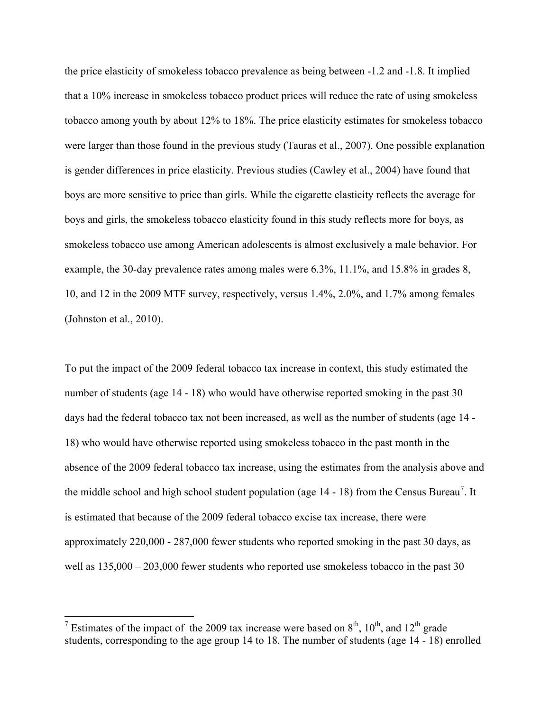the price elasticity of smokeless tobacco prevalence as being between -1.2 and -1.8. It implied that a 10% increase in smokeless tobacco product prices will reduce the rate of using smokeless tobacco among youth by about 12% to 18%. The price elasticity estimates for smokeless tobacco were larger than those found in the previous study (Tauras et al., 2007). One possible explanation is gender differences in price elasticity. Previous studies (Cawley et al., 2004) have found that boys are more sensitive to price than girls. While the cigarette elasticity reflects the average for boys and girls, the smokeless tobacco elasticity found in this study reflects more for boys, as smokeless tobacco use among American adolescents is almost exclusively a male behavior. For example, the 30-day prevalence rates among males were 6.3%, 11.1%, and 15.8% in grades 8, 10, and 12 in the 2009 MTF survey, respectively, versus 1.4%, 2.0%, and 1.7% among females (Johnston et al., 2010).

To put the impact of the 2009 federal tobacco tax increase in context, this study estimated the number of students (age 14 - 18) who would have otherwise reported smoking in the past 30 days had the federal tobacco tax not been increased, as well as the number of students (age 14 - 18) who would have otherwise reported using smokeless tobacco in the past month in the absence of the 2009 federal tobacco tax increase, using the estimates from the analysis above and the middle school and high school student population (age  $14 - 18$ ) from the Census Bureau<sup>[7](#page-27-0)</sup>. It is estimated that because of the 2009 federal tobacco excise tax increase, there were approximately 220,000 - 287,000 fewer students who reported smoking in the past 30 days, as well as  $135,000 - 203,000$  fewer students who reported use smokeless tobacco in the past 30

<span id="page-27-0"></span><sup>&</sup>lt;sup>7</sup> Estimates of the impact of the 2009 tax increase were based on  $8<sup>th</sup>$ ,  $10<sup>th</sup>$ , and  $12<sup>th</sup>$  grade students, corresponding to the age group 14 to 18. The number of students (age 14 - 18) enrolled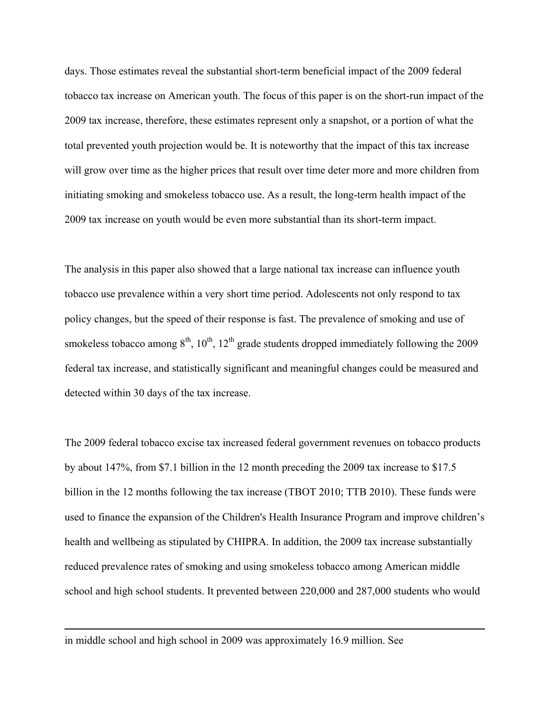days. Those estimates reveal the substantial short-term beneficial impact of the 2009 federal tobacco tax increase on American youth. The focus of this paper is on the short-run impact of the 2009 tax increase, therefore, these estimates represent only a snapshot, or a portion of what the total prevented youth projection would be. It is noteworthy that the impact of this tax increase will grow over time as the higher prices that result over time deter more and more children from initiating smoking and smokeless tobacco use. As a result, the long-term health impact of the 2009 tax increase on youth would be even more substantial than its short-term impact.

The analysis in this paper also showed that a large national tax increase can influence youth tobacco use prevalence within a very short time period. Adolescents not only respond to tax policy changes, but the speed of their response is fast. The prevalence of smoking and use of smokeless tobacco among  $8<sup>th</sup>$ ,  $10<sup>th</sup>$ ,  $12<sup>th</sup>$  grade students dropped immediately following the 2009 federal tax increase, and statistically significant and meaningful changes could be measured and detected within 30 days of the tax increase.

The 2009 federal tobacco excise tax increased federal government revenues on tobacco products by about 147%, from \$7.1 billion in the 12 month preceding the 2009 tax increase to \$17.5 billion in the 12 months following the tax increase (TBOT 2010; TTB 2010). These funds were used to finance the expansion of the Children's Health Insurance Program and improve children's health and wellbeing as stipulated by CHIPRA. In addition, the 2009 tax increase substantially reduced prevalence rates of smoking and using smokeless tobacco among American middle school and high school students. It prevented between 220,000 and 287,000 students who would

in middle school and high school in 2009 was approximately 16.9 million. See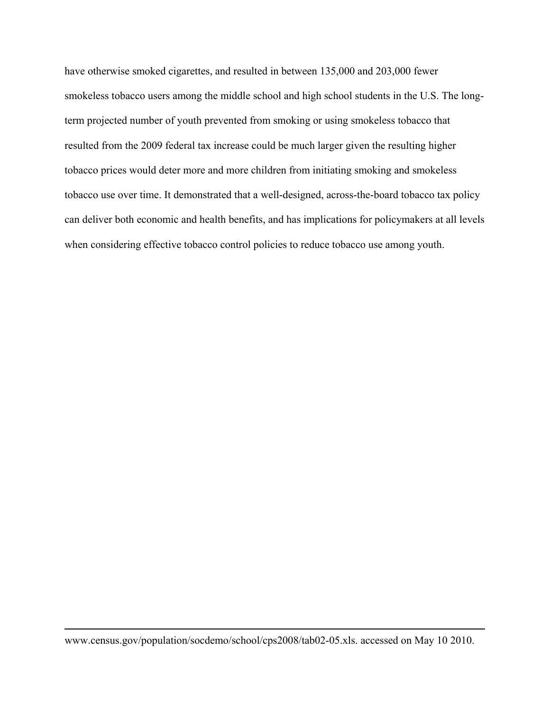have otherwise smoked cigarettes, and resulted in between 135,000 and 203,000 fewer smokeless tobacco users among the middle school and high school students in the U.S. The longterm projected number of youth prevented from smoking or using smokeless tobacco that resulted from the 2009 federal tax increase could be much larger given the resulting higher tobacco prices would deter more and more children from initiating smoking and smokeless tobacco use over time. It demonstrated that a well-designed, across-the-board tobacco tax policy can deliver both economic and health benefits, and has implications for policymakers at all levels when considering effective tobacco control policies to reduce tobacco use among youth.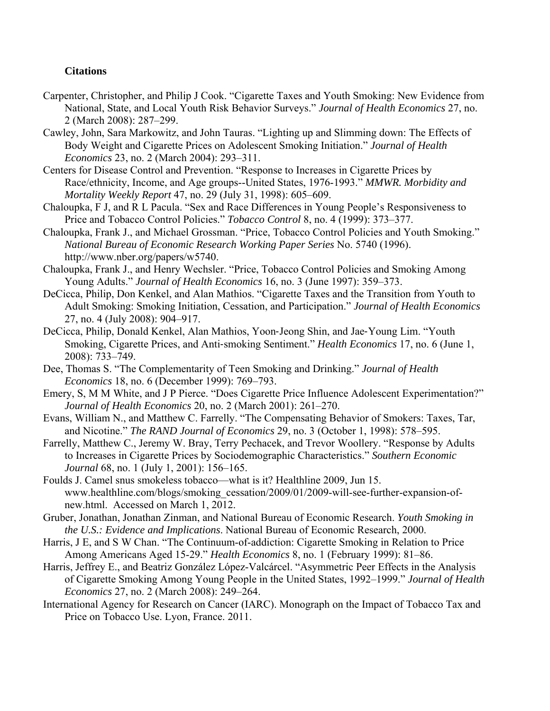# **Citations**

- Carpenter, Christopher, and Philip J Cook. "Cigarette Taxes and Youth Smoking: New Evidence from National, State, and Local Youth Risk Behavior Surveys." *Journal of Health Economics* 27, no. 2 (March 2008): 287–299.
- Cawley, John, Sara Markowitz, and John Tauras. "Lighting up and Slimming down: The Effects of Body Weight and Cigarette Prices on Adolescent Smoking Initiation." *Journal of Health Economics* 23, no. 2 (March 2004): 293–311.
- Centers for Disease Control and Prevention. "Response to Increases in Cigarette Prices by Race/ethnicity, Income, and Age groups--United States, 1976-1993." *MMWR. Morbidity and Mortality Weekly Report* 47, no. 29 (July 31, 1998): 605–609.
- Chaloupka, F J, and R L Pacula. "Sex and Race Differences in Young People's Responsiveness to Price and Tobacco Control Policies." *Tobacco Control* 8, no. 4 (1999): 373–377.
- Chaloupka, Frank J., and Michael Grossman. "Price, Tobacco Control Policies and Youth Smoking." *National Bureau of Economic Research Working Paper Series* No. 5740 (1996). http://www.nber.org/papers/w5740.
- Chaloupka, Frank J., and Henry Wechsler. "Price, Tobacco Control Policies and Smoking Among Young Adults." *Journal of Health Economics* 16, no. 3 (June 1997): 359–373.
- DeCicca, Philip, Don Kenkel, and Alan Mathios. "Cigarette Taxes and the Transition from Youth to Adult Smoking: Smoking Initiation, Cessation, and Participation." *Journal of Health Economics* 27, no. 4 (July 2008): 904–917.
- DeCicca, Philip, Donald Kenkel, Alan Mathios, Yoon‐Jeong Shin, and Jae‐Young Lim. "Youth Smoking, Cigarette Prices, and Anti‐smoking Sentiment." *Health Economics* 17, no. 6 (June 1, 2008): 733–749.
- Dee, Thomas S. "The Complementarity of Teen Smoking and Drinking." *Journal of Health Economics* 18, no. 6 (December 1999): 769–793.
- Emery, S, M M White, and J P Pierce. "Does Cigarette Price Influence Adolescent Experimentation?" *Journal of Health Economics* 20, no. 2 (March 2001): 261–270.
- Evans, William N., and Matthew C. Farrelly. "The Compensating Behavior of Smokers: Taxes, Tar, and Nicotine." *The RAND Journal of Economics* 29, no. 3 (October 1, 1998): 578–595.
- Farrelly, Matthew C., Jeremy W. Bray, Terry Pechacek, and Trevor Woollery. "Response by Adults to Increases in Cigarette Prices by Sociodemographic Characteristics." *Southern Economic Journal* 68, no. 1 (July 1, 2001): 156–165.
- Foulds J. Camel snus smokeless tobacco—what is it? Healthline 2009, Jun 15. www.healthline.com/blogs/smoking\_cessation/2009/01/2009-will-see-further-expansion-ofnew.html. Accessed on March 1, 2012.
- Gruber, Jonathan, Jonathan Zinman, and National Bureau of Economic Research. *Youth Smoking in the U.S.: Evidence and Implications*. National Bureau of Economic Research, 2000.
- Harris, J E, and S W Chan. "The Continuum-of-addiction: Cigarette Smoking in Relation to Price Among Americans Aged 15-29." *Health Economics* 8, no. 1 (February 1999): 81–86.
- Harris, Jeffrey E., and Beatriz González López-Valcárcel. "Asymmetric Peer Effects in the Analysis of Cigarette Smoking Among Young People in the United States, 1992–1999." *Journal of Health Economics* 27, no. 2 (March 2008): 249–264.
- International Agency for Research on Cancer (IARC). Monograph on the Impact of Tobacco Tax and Price on Tobacco Use. Lyon, France. 2011.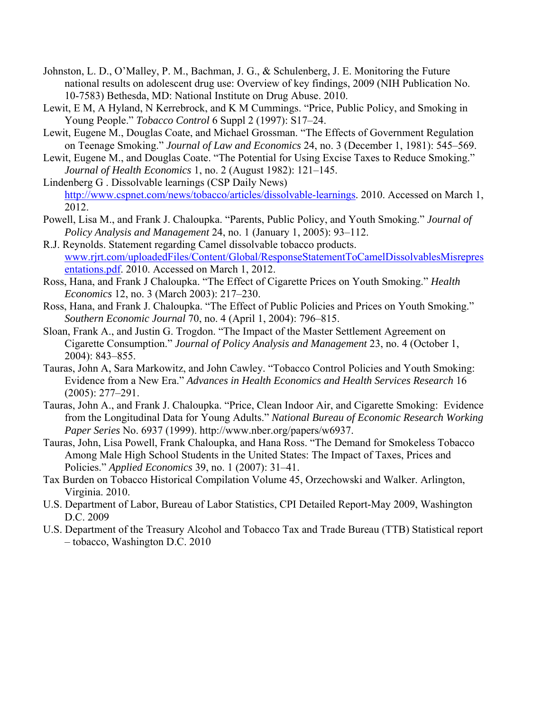- Johnston, L. D., O'Malley, P. M., Bachman, J. G., & Schulenberg, J. E. Monitoring the Future national results on adolescent drug use: Overview of key findings, 2009 (NIH Publication No. 10-7583) Bethesda, MD: National Institute on Drug Abuse. 2010.
- Lewit, E M, A Hyland, N Kerrebrock, and K M Cummings. "Price, Public Policy, and Smoking in Young People." *Tobacco Control* 6 Suppl 2 (1997): S17–24.
- Lewit, Eugene M., Douglas Coate, and Michael Grossman. "The Effects of Government Regulation on Teenage Smoking." *Journal of Law and Economics* 24, no. 3 (December 1, 1981): 545–569.
- Lewit, Eugene M., and Douglas Coate. "The Potential for Using Excise Taxes to Reduce Smoking." *Journal of Health Economics* 1, no. 2 (August 1982): 121–145.
- Lindenberg G . Dissolvable learnings (CSP Daily News) [http://www.cspnet.com/news/tobacco/articles/dissolvable-learnings.](http://www.cspnet.com/news/tobacco/articles/dissolvable-learnings) 2010. Accessed on March 1, 2012.
- Powell, Lisa M., and Frank J. Chaloupka. "Parents, Public Policy, and Youth Smoking." *Journal of Policy Analysis and Management* 24, no. 1 (January 1, 2005): 93–112.
- R.J. Reynolds. Statement regarding Camel dissolvable tobacco products. [www.rjrt.com/uploadedFiles/Content/Global/ResponseStatementToCamelDissolvablesMisrepres](http://www.rjrt.com/uploadedFiles/Content/Global/ResponseStatementToCamelDissolvablesMisrepresentations.pdf) [entations.pdf.](http://www.rjrt.com/uploadedFiles/Content/Global/ResponseStatementToCamelDissolvablesMisrepresentations.pdf) 2010. Accessed on March 1, 2012.
- Ross, Hana, and Frank J Chaloupka. "The Effect of Cigarette Prices on Youth Smoking." *Health Economics* 12, no. 3 (March 2003): 217–230.
- Ross, Hana, and Frank J. Chaloupka. "The Effect of Public Policies and Prices on Youth Smoking." *Southern Economic Journal* 70, no. 4 (April 1, 2004): 796–815.
- Sloan, Frank A., and Justin G. Trogdon. "The Impact of the Master Settlement Agreement on Cigarette Consumption." *Journal of Policy Analysis and Management* 23, no. 4 (October 1, 2004): 843–855.
- Tauras, John A, Sara Markowitz, and John Cawley. "Tobacco Control Policies and Youth Smoking: Evidence from a New Era." *Advances in Health Economics and Health Services Research* 16 (2005): 277–291.
- Tauras, John A., and Frank J. Chaloupka. "Price, Clean Indoor Air, and Cigarette Smoking: Evidence from the Longitudinal Data for Young Adults." *National Bureau of Economic Research Working Paper Series* No. 6937 (1999). http://www.nber.org/papers/w6937.
- Tauras, John, Lisa Powell, Frank Chaloupka, and Hana Ross. "The Demand for Smokeless Tobacco Among Male High School Students in the United States: The Impact of Taxes, Prices and Policies." *Applied Economics* 39, no. 1 (2007): 31–41.
- Tax Burden on Tobacco Historical Compilation Volume 45, Orzechowski and Walker. Arlington, Virginia. 2010.
- U.S. Department of Labor, Bureau of Labor Statistics, CPI Detailed Report-May 2009, Washington D.C. 2009
- U.S. Department of the Treasury Alcohol and Tobacco Tax and Trade Bureau (TTB) Statistical report – tobacco, Washington D.C. 2010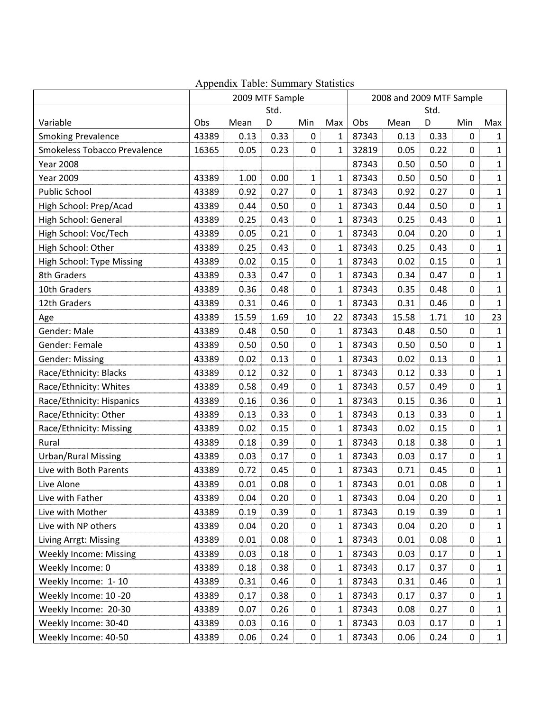|                               | 2009 MTF Sample |       |      |              | 2008 and 2009 MTF Sample |       |       |      |                  |              |
|-------------------------------|-----------------|-------|------|--------------|--------------------------|-------|-------|------|------------------|--------------|
|                               |                 |       | Std. |              |                          |       |       | Std. |                  |              |
| Variable                      | Obs             | Mean  | D    | Min          | Max                      | Obs   | Mean  | D    | Min              | Max          |
| <b>Smoking Prevalence</b>     | 43389           | 0.13  | 0.33 | 0            | 1                        | 87343 | 0.13  | 0.33 | $\mathbf 0$      | $\mathbf{1}$ |
| Smokeless Tobacco Prevalence  | 16365           | 0.05  | 0.23 | $\pmb{0}$    | $\mathbf{1}$             | 32819 | 0.05  | 0.22 | $\mathbf 0$      | $\mathbf{1}$ |
| <b>Year 2008</b>              |                 |       |      |              |                          | 87343 | 0.50  | 0.50 | 0                | $\mathbf{1}$ |
| <b>Year 2009</b>              | 43389           | 1.00  | 0.00 | $\mathbf{1}$ | $\mathbf{1}$             | 87343 | 0.50  | 0.50 | $\mathbf 0$      | $\mathbf{1}$ |
| <b>Public School</b>          | 43389           | 0.92  | 0.27 | 0            | $\mathbf{1}$             | 87343 | 0.92  | 0.27 | $\mathbf 0$      | $\mathbf{1}$ |
| High School: Prep/Acad        | 43389           | 0.44  | 0.50 | 0            | $\mathbf{1}$             | 87343 | 0.44  | 0.50 | $\mathbf 0$      | $\mathbf{1}$ |
| High School: General          | 43389           | 0.25  | 0.43 | 0            | $\mathbf{1}$             | 87343 | 0.25  | 0.43 | $\mathbf 0$      | $\mathbf{1}$ |
| High School: Voc/Tech         | 43389           | 0.05  | 0.21 | 0            | $\mathbf{1}$             | 87343 | 0.04  | 0.20 | $\mathbf 0$      | $\mathbf{1}$ |
| High School: Other            | 43389           | 0.25  | 0.43 | 0            | $\mathbf{1}$             | 87343 | 0.25  | 0.43 | $\mathbf 0$      | $\mathbf{1}$ |
| High School: Type Missing     | 43389           | 0.02  | 0.15 | 0            | $\mathbf{1}$             | 87343 | 0.02  | 0.15 | $\mathbf 0$      | $\mathbf{1}$ |
| 8th Graders                   | 43389           | 0.33  | 0.47 | 0            | $\mathbf{1}$             | 87343 | 0.34  | 0.47 | $\mathbf 0$      | $\mathbf{1}$ |
| 10th Graders                  | 43389           | 0.36  | 0.48 | 0            | $\mathbf{1}$             | 87343 | 0.35  | 0.48 | $\mathbf 0$      | $\mathbf{1}$ |
| 12th Graders                  | 43389           | 0.31  | 0.46 | 0            | $\mathbf{1}$             | 87343 | 0.31  | 0.46 | $\mathbf 0$      | $\mathbf{1}$ |
| Age                           | 43389           | 15.59 | 1.69 | 10           | 22                       | 87343 | 15.58 | 1.71 | 10               | 23           |
| Gender: Male                  | 43389           | 0.48  | 0.50 | 0            | 1                        | 87343 | 0.48  | 0.50 | 0                | $\mathbf{1}$ |
| Gender: Female                | 43389           | 0.50  | 0.50 | 0            | 1                        | 87343 | 0.50  | 0.50 | $\mathbf 0$      | $\mathbf{1}$ |
| <b>Gender: Missing</b>        | 43389           | 0.02  | 0.13 | 0            | $\mathbf{1}$             | 87343 | 0.02  | 0.13 | $\mathbf 0$      | $\mathbf 1$  |
| Race/Ethnicity: Blacks        | 43389           | 0.12  | 0.32 | $\pmb{0}$    | $\mathbf{1}$             | 87343 | 0.12  | 0.33 | $\mathbf 0$      | $\mathbf{1}$ |
| Race/Ethnicity: Whites        | 43389           | 0.58  | 0.49 | 0            | $\mathbf{1}$             | 87343 | 0.57  | 0.49 | $\mathbf 0$      | $\mathbf{1}$ |
| Race/Ethnicity: Hispanics     | 43389           | 0.16  | 0.36 | 0            | $\mathbf{1}$             | 87343 | 0.15  | 0.36 | $\mathbf 0$      | $\mathbf{1}$ |
| Race/Ethnicity: Other         | 43389           | 0.13  | 0.33 | 0            | $\mathbf{1}$             | 87343 | 0.13  | 0.33 | $\mathbf 0$      | $\mathbf{1}$ |
| Race/Ethnicity: Missing       | 43389           | 0.02  | 0.15 | 0            | $\mathbf{1}$             | 87343 | 0.02  | 0.15 | $\mathbf 0$      | $\mathbf{1}$ |
| Rural                         | 43389           | 0.18  | 0.39 | 0            | $\mathbf{1}$             | 87343 | 0.18  | 0.38 | $\mathbf 0$      | $\mathbf{1}$ |
| <b>Urban/Rural Missing</b>    | 43389           | 0.03  | 0.17 | 0            | $\mathbf{1}$             | 87343 | 0.03  | 0.17 | $\mathbf 0$      | $\mathbf{1}$ |
| Live with Both Parents        | 43389           | 0.72  | 0.45 | 0            | $\mathbf{1}$             | 87343 | 0.71  | 0.45 | $\pmb{0}$        | $\mathbf{1}$ |
| Live Alone                    | 43389           | 0.01  | 0.08 | 0            | $\mathbf{1}$             | 87343 | 0.01  | 0.08 | $\mathbf 0$      | $\mathbf{1}$ |
| Live with Father              | 43389           | 0.04  | 0.20 | 0            | 1                        | 87343 | 0.04  | 0.20 | 0                | 1            |
| Live with Mother              | 43389           | 0.19  | 0.39 | 0            | 1                        | 87343 | 0.19  | 0.39 | $\boldsymbol{0}$ | $\mathbf{1}$ |
| Live with NP others           | 43389           | 0.04  | 0.20 | 0            | $\mathbf{1}$             | 87343 | 0.04  | 0.20 | 0                | $\mathbf{1}$ |
| Living Arrgt: Missing         | 43389           | 0.01  | 0.08 | 0            | $\mathbf{1}$             | 87343 | 0.01  | 0.08 | 0                | $\mathbf{1}$ |
| <b>Weekly Income: Missing</b> | 43389           | 0.03  | 0.18 | 0            | $\mathbf{1}$             | 87343 | 0.03  | 0.17 | 0                | $\mathbf{1}$ |
| Weekly Income: 0              | 43389           | 0.18  | 0.38 | 0            | 1                        | 87343 | 0.17  | 0.37 | $\mathbf 0$      | $\mathbf{1}$ |
| Weekly Income: 1-10           | 43389           | 0.31  | 0.46 | 0            | $\mathbf{1}$             | 87343 | 0.31  | 0.46 | $\mathbf 0$      | $\mathbf{1}$ |
| Weekly Income: 10 -20         | 43389           | 0.17  | 0.38 | 0            | $\mathbf{1}$             | 87343 | 0.17  | 0.37 | 0                | 1            |
| Weekly Income: 20-30          | 43389           | 0.07  | 0.26 | 0            | 1                        | 87343 | 0.08  | 0.27 | $\mathbf 0$      | $\mathbf{1}$ |
| Weekly Income: 30-40          | 43389           | 0.03  | 0.16 | 0            | 1                        | 87343 | 0.03  | 0.17 | 0                | $\mathbf{1}$ |
| Weekly Income: 40-50          | 43389           | 0.06  | 0.24 | 0            | $\mathbf 1$              | 87343 | 0.06  | 0.24 | $\mathbf 0$      | $\mathbf{1}$ |

# Appendix Table: Summary Statistics